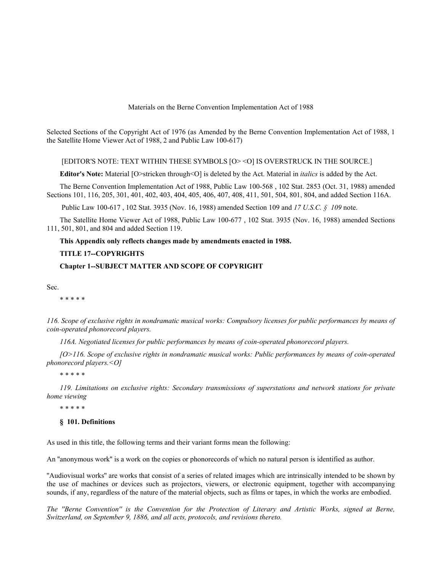### Materials on the Berne Convention Implementation Act of 1988

Selected Sections of the Copyright Act of 1976 (as Amended by the Berne Convention Implementation Act of 1988, 1 the Satellite Home Viewer Act of 1988, 2 and Public Law 100-617)

### [EDITOR'S NOTE: TEXT WITHIN THESE SYMBOLS [O> <O] IS OVERSTRUCK IN THE SOURCE.]

**Editor's Note:** Material [O>stricken through<O] is deleted by the Act. Material in *italics* is added by the Act.

The Berne Convention Implementation Act of 1988, Public Law 100-568 , 102 Stat. 2853 (Oct. 31, 1988) amended Sections 101, 116, 205, 301, 401, 402, 403, 404, 405, 406, 407, 408, 411, 501, 504, 801, 804, and added Section 116A.

Public Law 100-617 , 102 Stat. 3935 (Nov. 16, 1988) amended Section 109 and *17 U.S.C. § 109* note.

The Satellite Home Viewer Act of 1988, Public Law 100-677 , 102 Stat. 3935 (Nov. 16, 1988) amended Sections 111, 501, 801, and 804 and added Section 119.

# **This Appendix only reflects changes made by amendments enacted in 1988.**

## **TITLE 17--COPYRIGHTS**

**Chapter 1--SUBJECT MATTER AND SCOPE OF COPYRIGHT**

Sec.

\* \* \* \* \*

*116. Scope of exclusive rights in nondramatic musical works: Compulsory licenses for public performances by means of coin-operated phonorecord players.*

*116A. Negotiated licenses for public performances by means of coin-operated phonorecord players.*

*[O>116. Scope of exclusive rights in nondramatic musical works: Public performances by means of coin-operated phonorecord players.<O]*

\* \* \* \* \*

*119. Limitations on exclusive rights: Secondary transmissions of superstations and network stations for private home viewing*

\* \* \* \* \*

### **§ 101. Definitions**

As used in this title, the following terms and their variant forms mean the following:

An ''anonymous work'' is a work on the copies or phonorecords of which no natural person is identified as author.

''Audiovisual works'' are works that consist of a series of related images which are intrinsically intended to be shown by the use of machines or devices such as projectors, viewers, or electronic equipment, together with accompanying sounds, if any, regardless of the nature of the material objects, such as films or tapes, in which the works are embodied.

*The ''Berne Convention'' is the Convention for the Protection of Literary and Artistic Works, signed at Berne, Switzerland, on September 9, 1886, and all acts, protocols, and revisions thereto.*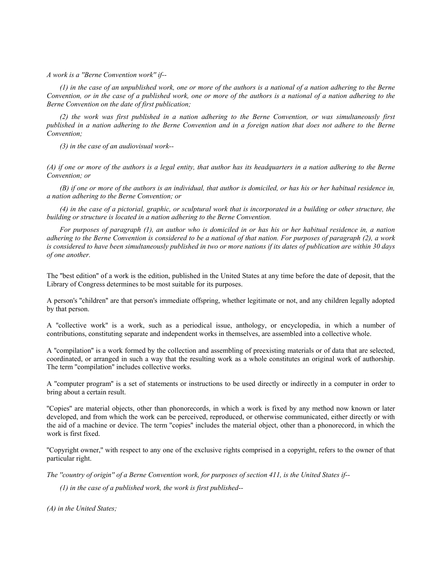*A work is a ''Berne Convention work'' if--*

*(1) in the case of an unpublished work, one or more of the authors is a national of a nation adhering to the Berne Convention, or in the case of a published work, one or more of the authors is a national of a nation adhering to the Berne Convention on the date of first publication;*

*(2) the work was first published in a nation adhering to the Berne Convention, or was simultaneously first published in a nation adhering to the Berne Convention and in a foreign nation that does not adhere to the Berne Convention;*

*(3) in the case of an audiovisual work--*

*(A) if one or more of the authors is a legal entity, that author has its headquarters in a nation adhering to the Berne Convention; or*

*(B) if one or more of the authors is an individual, that author is domiciled, or has his or her habitual residence in, a nation adhering to the Berne Convention; or*

*(4) in the case of a pictorial, graphic, or sculptural work that is incorporated in a building or other structure, the building or structure is located in a nation adhering to the Berne Convention.*

*For purposes of paragraph (1), an author who is domiciled in or has his or her habitual residence in, a nation adhering to the Berne Convention is considered to be a national of that nation. For purposes of paragraph (2), a work is considered to have been simultaneously published in two or more nations if its dates of publication are within 30 days of one another.*

The ''best edition'' of a work is the edition, published in the United States at any time before the date of deposit, that the Library of Congress determines to be most suitable for its purposes.

A person's ''children'' are that person's immediate offspring, whether legitimate or not, and any children legally adopted by that person.

A ''collective work'' is a work, such as a periodical issue, anthology, or encyclopedia, in which a number of contributions, constituting separate and independent works in themselves, are assembled into a collective whole.

A ''compilation'' is a work formed by the collection and assembling of preexisting materials or of data that are selected, coordinated, or arranged in such a way that the resulting work as a whole constitutes an original work of authorship. The term ''compilation'' includes collective works.

A ''computer program'' is a set of statements or instructions to be used directly or indirectly in a computer in order to bring about a certain result.

''Copies'' are material objects, other than phonorecords, in which a work is fixed by any method now known or later developed, and from which the work can be perceived, reproduced, or otherwise communicated, either directly or with the aid of a machine or device. The term ''copies'' includes the material object, other than a phonorecord, in which the work is first fixed.

''Copyright owner,'' with respect to any one of the exclusive rights comprised in a copyright, refers to the owner of that particular right.

*The ''country of origin'' of a Berne Convention work, for purposes of section 411, is the United States if--*

*(1) in the case of a published work, the work is first published--*

*(A) in the United States;*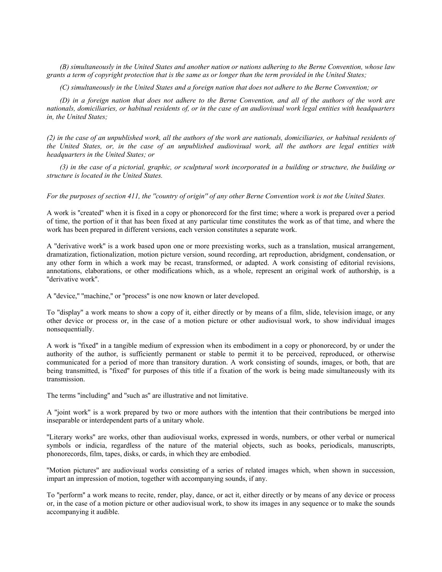*(B) simultaneously in the United States and another nation or nations adhering to the Berne Convention, whose law grants a term of copyright protection that is the same as or longer than the term provided in the United States;*

*(C) simultaneously in the United States and a foreign nation that does not adhere to the Berne Convention; or*

*(D) in a foreign nation that does not adhere to the Berne Convention, and all of the authors of the work are nationals, domiciliaries, or habitual residents of, or in the case of an audiovisual work legal entities with headquarters in, the United States;*

*(2) in the case of an unpublished work, all the authors of the work are nationals, domiciliaries, or habitual residents of the United States, or, in the case of an unpublished audiovisual work, all the authors are legal entities with headquarters in the United States; or*

*(3) in the case of a pictorial, graphic, or sculptural work incorporated in a building or structure, the building or structure is located in the United States.*

*For the purposes of section 411, the ''country of origin'' of any other Berne Convention work is not the United States.*

A work is ''created'' when it is fixed in a copy or phonorecord for the first time; where a work is prepared over a period of time, the portion of it that has been fixed at any particular time constitutes the work as of that time, and where the work has been prepared in different versions, each version constitutes a separate work.

A ''derivative work'' is a work based upon one or more preexisting works, such as a translation, musical arrangement, dramatization, fictionalization, motion picture version, sound recording, art reproduction, abridgment, condensation, or any other form in which a work may be recast, transformed, or adapted. A work consisting of editorial revisions, annotations, elaborations, or other modifications which, as a whole, represent an original work of authorship, is a ''derivative work''.

A ''device,'' ''machine,'' or ''process'' is one now known or later developed.

To ''display'' a work means to show a copy of it, either directly or by means of a film, slide, television image, or any other device or process or, in the case of a motion picture or other audiovisual work, to show individual images nonsequentially.

A work is ''fixed'' in a tangible medium of expression when its embodiment in a copy or phonorecord, by or under the authority of the author, is sufficiently permanent or stable to permit it to be perceived, reproduced, or otherwise communicated for a period of more than transitory duration. A work consisting of sounds, images, or both, that are being transmitted, is ''fixed'' for purposes of this title if a fixation of the work is being made simultaneously with its transmission.

The terms ''including'' and ''such as'' are illustrative and not limitative.

A ''joint work'' is a work prepared by two or more authors with the intention that their contributions be merged into inseparable or interdependent parts of a unitary whole.

''Literary works'' are works, other than audiovisual works, expressed in words, numbers, or other verbal or numerical symbols or indicia, regardless of the nature of the material objects, such as books, periodicals, manuscripts, phonorecords, film, tapes, disks, or cards, in which they are embodied.

''Motion pictures'' are audiovisual works consisting of a series of related images which, when shown in succession, impart an impression of motion, together with accompanying sounds, if any.

To ''perform'' a work means to recite, render, play, dance, or act it, either directly or by means of any device or process or, in the case of a motion picture or other audiovisual work, to show its images in any sequence or to make the sounds accompanying it audible.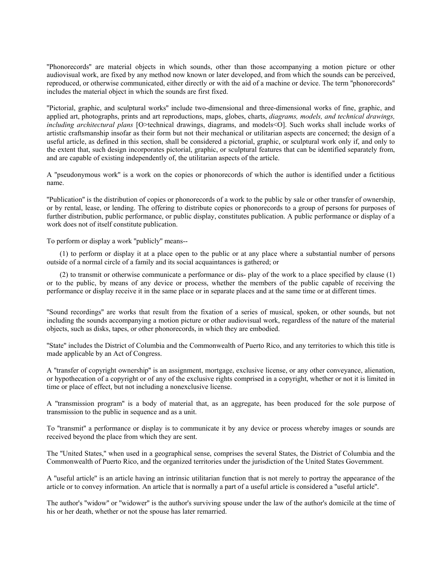''Phonorecords'' are material objects in which sounds, other than those accompanying a motion picture or other audiovisual work, are fixed by any method now known or later developed, and from which the sounds can be perceived, reproduced, or otherwise communicated, either directly or with the aid of a machine or device. The term ''phonorecords'' includes the material object in which the sounds are first fixed.

''Pictorial, graphic, and sculptural works'' include two-dimensional and three-dimensional works of fine, graphic, and applied art, photographs, prints and art reproductions, maps, globes, charts, *diagrams, models, and technical drawings, including architectural plans* [O>technical drawings, diagrams, and models<O]. Such works shall include works of artistic craftsmanship insofar as their form but not their mechanical or utilitarian aspects are concerned; the design of a useful article, as defined in this section, shall be considered a pictorial, graphic, or sculptural work only if, and only to the extent that, such design incorporates pictorial, graphic, or sculptural features that can be identified separately from, and are capable of existing independently of, the utilitarian aspects of the article.

A ''pseudonymous work'' is a work on the copies or phonorecords of which the author is identified under a fictitious name.

''Publication'' is the distribution of copies or phonorecords of a work to the public by sale or other transfer of ownership, or by rental, lease, or lending. The offering to distribute copies or phonorecords to a group of persons for purposes of further distribution, public performance, or public display, constitutes publication. A public performance or display of a work does not of itself constitute publication.

To perform or display a work ''publicly'' means--

(1) to perform or display it at a place open to the public or at any place where a substantial number of persons outside of a normal circle of a family and its social acquaintances is gathered; or

(2) to transmit or otherwise communicate a performance or dis- play of the work to a place specified by clause (1) or to the public, by means of any device or process, whether the members of the public capable of receiving the performance or display receive it in the same place or in separate places and at the same time or at different times.

''Sound recordings'' are works that result from the fixation of a series of musical, spoken, or other sounds, but not including the sounds accompanying a motion picture or other audiovisual work, regardless of the nature of the material objects, such as disks, tapes, or other phonorecords, in which they are embodied.

''State'' includes the District of Columbia and the Commonwealth of Puerto Rico, and any territories to which this title is made applicable by an Act of Congress.

A ''transfer of copyright ownership'' is an assignment, mortgage, exclusive license, or any other conveyance, alienation, or hypothecation of a copyright or of any of the exclusive rights comprised in a copyright, whether or not it is limited in time or place of effect, but not including a nonexclusive license.

A ''transmission program'' is a body of material that, as an aggregate, has been produced for the sole purpose of transmission to the public in sequence and as a unit.

To ''transmit'' a performance or display is to communicate it by any device or process whereby images or sounds are received beyond the place from which they are sent.

The ''United States,'' when used in a geographical sense, comprises the several States, the District of Columbia and the Commonwealth of Puerto Rico, and the organized territories under the jurisdiction of the United States Government.

A ''useful article'' is an article having an intrinsic utilitarian function that is not merely to portray the appearance of the article or to convey information. An article that is normally a part of a useful article is considered a ''useful article''.

The author's "widow" or "widower" is the author's surviving spouse under the law of the author's domicile at the time of his or her death, whether or not the spouse has later remarried.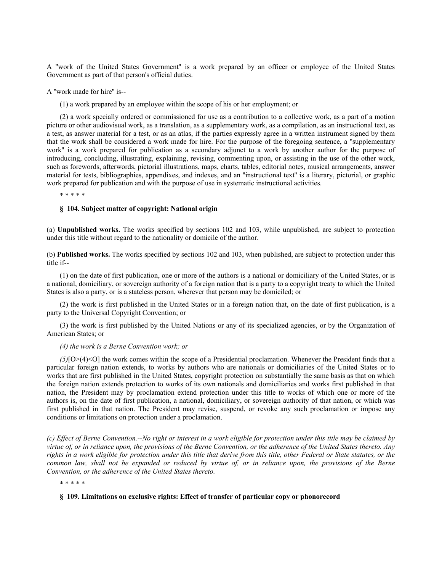A ''work of the United States Government'' is a work prepared by an officer or employee of the United States Government as part of that person's official duties.

### A ''work made for hire'' is--

(1) a work prepared by an employee within the scope of his or her employment; or

(2) a work specially ordered or commissioned for use as a contribution to a collective work, as a part of a motion picture or other audiovisual work, as a translation, as a supplementary work, as a compilation, as an instructional text, as a test, as answer material for a test, or as an atlas, if the parties expressly agree in a written instrument signed by them that the work shall be considered a work made for hire. For the purpose of the foregoing sentence, a ''supplementary work'' is a work prepared for publication as a secondary adjunct to a work by another author for the purpose of introducing, concluding, illustrating, explaining, revising, commenting upon, or assisting in the use of the other work, such as forewords, afterwords, pictorial illustrations, maps, charts, tables, editorial notes, musical arrangements, answer material for tests, bibliographies, appendixes, and indexes, and an ''instructional text'' is a literary, pictorial, or graphic work prepared for publication and with the purpose of use in systematic instructional activities.

\* \* \* \* \*

#### **§ 104. Subject matter of copyright: National origin**

(a) **Unpublished works.** The works specified by sections 102 and 103, while unpublished, are subject to protection under this title without regard to the nationality or domicile of the author.

(b) **Published works.** The works specified by sections 102 and 103, when published, are subject to protection under this title if--

(1) on the date of first publication, one or more of the authors is a national or domiciliary of the United States, or is a national, domiciliary, or sovereign authority of a foreign nation that is a party to a copyright treaty to which the United States is also a party, or is a stateless person, wherever that person may be domiciled; or

(2) the work is first published in the United States or in a foreign nation that, on the date of first publication, is a party to the Universal Copyright Convention; or

(3) the work is first published by the United Nations or any of its specialized agencies, or by the Organization of American States; or

#### *(4) the work is a Berne Convention work; or*

*(5)*[O>(4)<O] the work comes within the scope of a Presidential proclamation. Whenever the President finds that a particular foreign nation extends, to works by authors who are nationals or domiciliaries of the United States or to works that are first published in the United States, copyright protection on substantially the same basis as that on which the foreign nation extends protection to works of its own nationals and domiciliaries and works first published in that nation, the President may by proclamation extend protection under this title to works of which one or more of the authors is, on the date of first publication, a national, domiciliary, or sovereign authority of that nation, or which was first published in that nation. The President may revise, suspend, or revoke any such proclamation or impose any conditions or limitations on protection under a proclamation.

*(c) Effect of Berne Convention.--No right or interest in a work eligible for protection under this title may be claimed by virtue of, or in reliance upon, the provisions of the Berne Convention, or the adherence of the United States thereto. Any rights in a work eligible for protection under this title that derive from this title, other Federal or State statutes, or the common law, shall not be expanded or reduced by virtue of, or in reliance upon, the provisions of the Berne Convention, or the adherence of the United States thereto.*

\* \* \* \* \*

#### **§ 109. Limitations on exclusive rights: Effect of transfer of particular copy or phonorecord**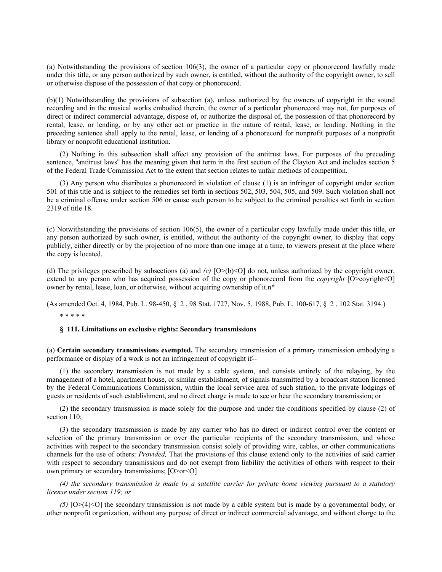(a) Notwithstanding the provisions of section 106(3), the owner of a particular copy or phonorecord lawfully made under this title, or any person authorized by such owner, is entitled, without the authority of the copyright owner, to sell or otherwise dispose of the possession of that copy or phonorecord.

(b)(1) Notwithstanding the provisions of subsection (a), unless authorized by the owners of copyright in the sound recording and in the musical works embodied therein, the owner of a particular phonorecord may not, for purposes of direct or indirect commercial advantage, dispose of, or authorize the disposal of, the possession of that phonorecord by rental, lease, or lending, or by any other act or practice in the nature of rental, lease, or lending. Nothing in the preceding sentence shall apply to the rental, lease, or lending of a phonorecord for nonprofit purposes of a nonprofit library or nonprofit educational institution.

(2) Nothing in this subsection shall affect any provision of the antitrust laws. For purposes of the preceding sentence, "antitrust laws" has the meaning given that term in the first section of the Clayton Act and includes section 5 of the Federal Trade Commission Act to the extent that section relates to unfair methods of competition.

(3) Any person who distributes a phonorecord in violation of clause (1) is an infringer of copyright under section 501 of this title and is subject to the remedies set forth in sections 502, 503, 504, 505, and 509. Such violation shall not be a criminal offense under section 506 or cause such person to be subject to the criminal penalties set forth in section 2319 of title 18.

(c) Notwithstanding the provisions of section 106(5), the owner of a particular copy lawfully made under this title, or any person authorized by such owner, is entitled, without the authority of the copyright owner, to display that copy publicly, either directly or by the projection of no more than one image at a time, to viewers present at the place where the copy is located.

(d) The privileges prescribed by subsections (a) and  $(c)$  [O>(b)<O] do not, unless authorized by the copyright owner, extend to any person who has acquired possession of the copy or phonorecord from the *copyright* [O>coyright<O] owner by rental, lease, loan, or otherwise, without acquiring ownership of it.n\*

(As amended Oct. 4, 1984, Pub. L. 98-450, § 2 , 98 Stat. 1727, Nov. 5, 1988, Pub. L. 100-617, § 2 , 102 Stat. 3194.)

\* \* \* \* \*

### **§ 111. Limitations on exclusive rights: Secondary transmissions**

(a) **Certain secondary transmissions exempted.** The secondary transmission of a primary transmission embodying a performance or display of a work is not an infringement of copyright if--

(1) the secondary transmission is not made by a cable system, and consists entirely of the relaying, by the management of a hotel, apartment house, or similar establishment, of signals transmitted by a broadcast station licensed by the Federal Communications Commission, within the local service area of such station, to the private lodgings of guests or residents of such establishment, and no direct charge is made to see or hear the secondary transmission; or

(2) the secondary transmission is made solely for the purpose and under the conditions specified by clause (2) of section 110;

(3) the secondary transmission is made by any carrier who has no direct or indirect control over the content or selection of the primary transmission or over the particular recipients of the secondary transmission, and whose activities with respect to the secondary transmission consist solely of providing wire, cables, or other communications channels for the use of others: *Provided,* That the provisions of this clause extend only to the activities of said carrier with respect to secondary transmissions and do not exempt from liability the activities of others with respect to their own primary or secondary transmissions; [O>or<O]

*(4) the secondary transmission is made by a satellite carrier for private home viewing pursuant to a statutory license under section 119; or*

*(5)* [O>(4)<O] the secondary transmission is not made by a cable system but is made by a governmental body, or other nonprofit organization, without any purpose of direct or indirect commercial advantage, and without charge to the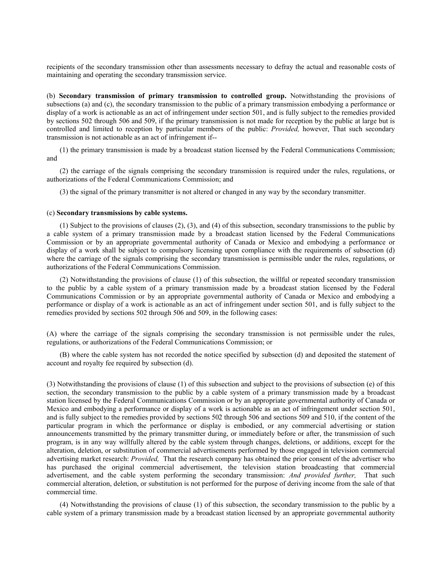recipients of the secondary transmission other than assessments necessary to defray the actual and reasonable costs of maintaining and operating the secondary transmission service.

(b) **Secondary transmission of primary transmission to controlled group.** Notwithstanding the provisions of subsections (a) and (c), the secondary transmission to the public of a primary transmission embodying a performance or display of a work is actionable as an act of infringement under section 501, and is fully subject to the remedies provided by sections 502 through 506 and 509, if the primary transmission is not made for reception by the public at large but is controlled and limited to reception by particular members of the public: *Provided,* however, That such secondary transmission is not actionable as an act of infringement if--

(1) the primary transmission is made by a broadcast station licensed by the Federal Communications Commission; and

(2) the carriage of the signals comprising the secondary transmission is required under the rules, regulations, or authorizations of the Federal Communications Commission; and

(3) the signal of the primary transmitter is not altered or changed in any way by the secondary transmitter.

### (c) **Secondary transmissions by cable systems.**

(1) Subject to the provisions of clauses (2), (3), and (4) of this subsection, secondary transmissions to the public by a cable system of a primary transmission made by a broadcast station licensed by the Federal Communications Commission or by an appropriate governmental authority of Canada or Mexico and embodying a performance or display of a work shall be subject to compulsory licensing upon compliance with the requirements of subsection (d) where the carriage of the signals comprising the secondary transmission is permissible under the rules, regulations, or authorizations of the Federal Communications Commission.

(2) Notwithstanding the provisions of clause (1) of this subsection, the willful or repeated secondary transmission to the public by a cable system of a primary transmission made by a broadcast station licensed by the Federal Communications Commission or by an appropriate governmental authority of Canada or Mexico and embodying a performance or display of a work is actionable as an act of infringement under section 501, and is fully subject to the remedies provided by sections 502 through 506 and 509, in the following cases:

(A) where the carriage of the signals comprising the secondary transmission is not permissible under the rules, regulations, or authorizations of the Federal Communications Commission; or

(B) where the cable system has not recorded the notice specified by subsection (d) and deposited the statement of account and royalty fee required by subsection (d).

(3) Notwithstanding the provisions of clause (1) of this subsection and subject to the provisions of subsection (e) of this section, the secondary transmission to the public by a cable system of a primary transmission made by a broadcast station licensed by the Federal Communications Commission or by an appropriate governmental authority of Canada or Mexico and embodying a performance or display of a work is actionable as an act of infringement under section 501, and is fully subject to the remedies provided by sections 502 through 506 and sections 509 and 510, if the content of the particular program in which the performance or display is embodied, or any commercial advertising or station announcements transmitted by the primary transmitter during, or immediately before or after, the transmission of such program, is in any way willfully altered by the cable system through changes, deletions, or additions, except for the alteration, deletion, or substitution of commercial advertisements performed by those engaged in television commercial advertising market research: *Provided,* That the research company has obtained the prior consent of the advertiser who has purchased the original commercial advertisement, the television station broadcasting that commercial advertisement, and the cable system performing the secondary transmission: *And provided further,* That such commercial alteration, deletion, or substitution is not performed for the purpose of deriving income from the sale of that commercial time.

(4) Notwithstanding the provisions of clause (1) of this subsection, the secondary transmission to the public by a cable system of a primary transmission made by a broadcast station licensed by an appropriate governmental authority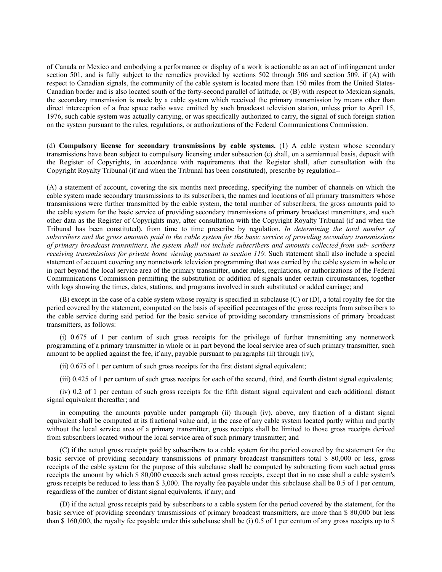of Canada or Mexico and embodying a performance or display of a work is actionable as an act of infringement under section 501, and is fully subject to the remedies provided by sections 502 through 506 and section 509, if (A) with respect to Canadian signals, the community of the cable system is located more than 150 miles from the United States-Canadian border and is also located south of the forty-second parallel of latitude, or (B) with respect to Mexican signals, the secondary transmission is made by a cable system which received the primary transmission by means other than direct interception of a free space radio wave emitted by such broadcast television station, unless prior to April 15, 1976, such cable system was actually carrying, or was specifically authorized to carry, the signal of such foreign station on the system pursuant to the rules, regulations, or authorizations of the Federal Communications Commission.

(d) **Compulsory license for secondary transmissions by cable systems.** (1) A cable system whose secondary transmissions have been subject to compulsory licensing under subsection (c) shall, on a semiannual basis, deposit with the Register of Copyrights, in accordance with requirements that the Register shall, after consultation with the Copyright Royalty Tribunal (if and when the Tribunal has been constituted), prescribe by regulation--

(A) a statement of account, covering the six months next preceding, specifying the number of channels on which the cable system made secondary transmissions to its subscribers, the names and locations of all primary transmitters whose transmissions were further transmitted by the cable system, the total number of subscribers, the gross amounts paid to the cable system for the basic service of providing secondary transmissions of primary broadcast transmitters, and such other data as the Register of Copyrights may, after consultation with the Copyright Royalty Tribunal (if and when the Tribunal has been constituted), from time to time prescribe by regulation. *In determining the total number of subscribers and the gross amounts paid to the cable system for the basic service of providing secondary transmissions of primary broadcast transmitters, the system shall not include subscribers and amounts collected from sub- scribers receiving transmissions for private home viewing pursuant to section 119.* Such statement shall also include a special statement of account covering any nonnetwork television programming that was carried by the cable system in whole or in part beyond the local service area of the primary transmitter, under rules, regulations, or authorizations of the Federal Communications Commission permitting the substitution or addition of signals under certain circumstances, together with logs showing the times, dates, stations, and programs involved in such substituted or added carriage; and

(B) except in the case of a cable system whose royalty is specified in subclause (C) or (D), a total royalty fee for the period covered by the statement, computed on the basis of specified pecentages of the gross receipts from subscribers to the cable service during said period for the basic service of providing secondary transmissions of primary broadcast transmitters, as follows:

(i) 0.675 of 1 per centum of such gross receipts for the privilege of further transmitting any nonnetwork programming of a primary transmitter in whole or in part beyond the local service area of such primary transmitter, such amount to be applied against the fee, if any, payable pursuant to paragraphs (ii) through (iv);

(ii) 0.675 of 1 per centum of such gross receipts for the first distant signal equivalent;

(iii) 0.425 of 1 per centum of such gross receipts for each of the second, third, and fourth distant signal equivalents;

(iv) 0.2 of 1 per centum of such gross receipts for the fifth distant signal equivalent and each additional distant signal equivalent thereafter; and

in computing the amounts payable under paragraph (ii) through (iv), above, any fraction of a distant signal equivalent shall be computed at its fractional value and, in the case of any cable system located partly within and partly without the local service area of a primary transmitter, gross receipts shall be limited to those gross receipts derived from subscribers located without the local service area of such primary transmitter; and

(C) if the actual gross receipts paid by subscribers to a cable system for the period covered by the statement for the basic service of providing secondary transmissions of primary broadcast transmitters total \$ 80,000 or less, gross receipts of the cable system for the purpose of this subclause shall be computed by subtracting from such actual gross receipts the amount by which \$ 80,000 exceeds such actual gross receipts, except that in no case shall a cable system's gross receipts be reduced to less than \$ 3,000. The royalty fee payable under this subclause shall be 0.5 of 1 per centum, regardless of the number of distant signal equivalents, if any; and

(D) if the actual gross receipts paid by subscribers to a cable system for the period covered by the statement, for the basic service of providing secondary transmissions of primary broadcast transmitters, are more than \$ 80,000 but less than \$160,000, the royalty fee payable under this subclause shall be (i) 0.5 of 1 per centum of any gross receipts up to \$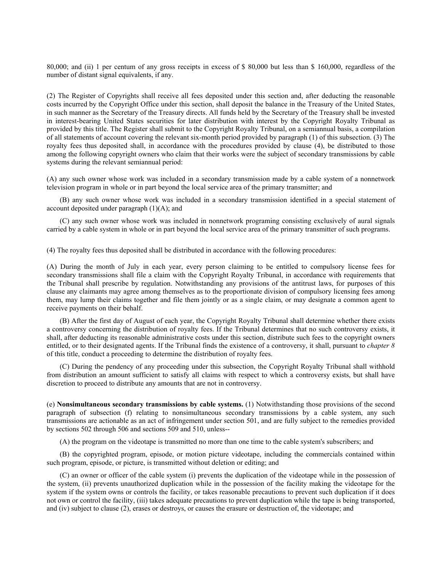80,000; and (ii) 1 per centum of any gross receipts in excess of \$ 80,000 but less than \$ 160,000, regardless of the number of distant signal equivalents, if any.

(2) The Register of Copyrights shall receive all fees deposited under this section and, after deducting the reasonable costs incurred by the Copyright Office under this section, shall deposit the balance in the Treasury of the United States, in such manner as the Secretary of the Treasury directs. All funds held by the Secretary of the Treasury shall be invested in interest-bearing United States securities for later distribution with interest by the Copyright Royalty Tribunal as provided by this title. The Register shall submit to the Copyright Royalty Tribunal, on a semiannual basis, a compilation of all statements of account covering the relevant six-month period provided by paragraph (1) of this subsection. (3) The royalty fees thus deposited shall, in accordance with the procedures provided by clause (4), be distributed to those among the following copyright owners who claim that their works were the subject of secondary transmissions by cable systems during the relevant semiannual period:

(A) any such owner whose work was included in a secondary transmission made by a cable system of a nonnetwork television program in whole or in part beyond the local service area of the primary transmitter; and

(B) any such owner whose work was included in a secondary transmission identified in a special statement of account deposited under paragraph  $(1)(A)$ ; and

(C) any such owner whose work was included in nonnetwork programing consisting exclusively of aural signals carried by a cable system in whole or in part beyond the local service area of the primary transmitter of such programs.

(4) The royalty fees thus deposited shall be distributed in accordance with the following procedures:

(A) During the month of July in each year, every person claiming to be entitled to compulsory license fees for secondary transmissions shall file a claim with the Copyright Royalty Tribunal, in accordance with requirements that the Tribunal shall prescribe by regulation. Notwithstanding any provisions of the antitrust laws, for purposes of this clause any claimants may agree among themselves as to the proportionate division of compulsory licensing fees among them, may lump their claims together and file them jointly or as a single claim, or may designate a common agent to receive payments on their behalf.

(B) After the first day of August of each year, the Copyright Royalty Tribunal shall determine whether there exists a controversy concerning the distribution of royalty fees. If the Tribunal determines that no such controversy exists, it shall, after deducting its reasonable administrative costs under this section, distribute such fees to the copyright owners entitled, or to their designated agents. If the Tribunal finds the existence of a controversy, it shall, pursuant to *chapter 8* of this title, conduct a proceeding to determine the distribution of royalty fees.

(C) During the pendency of any proceeding under this subsection, the Copyright Royalty Tribunal shall withhold from distribution an amount sufficient to satisfy all claims with respect to which a controversy exists, but shall have discretion to proceed to distribute any amounts that are not in controversy.

(e) **Nonsimultaneous secondary transmissions by cable systems.** (1) Notwithstanding those provisions of the second paragraph of subsection (f) relating to nonsimultaneous secondary transmissions by a cable system, any such transmissions are actionable as an act of infringement under section 501, and are fully subject to the remedies provided by sections 502 through 506 and sections 509 and 510, unless--

(A) the program on the videotape is transmitted no more than one time to the cable system's subscribers; and

(B) the copyrighted program, episode, or motion picture videotape, including the commercials contained within such program, episode, or picture, is transmitted without deletion or editing; and

(C) an owner or officer of the cable system (i) prevents the duplication of the videotape while in the possession of the system, (ii) prevents unauthorized duplication while in the possession of the facility making the videotape for the system if the system owns or controls the facility, or takes reasonable precautions to prevent such duplication if it does not own or control the facility, (iii) takes adequate precautions to prevent duplication while the tape is being transported, and (iv) subject to clause (2), erases or destroys, or causes the erasure or destruction of, the videotape; and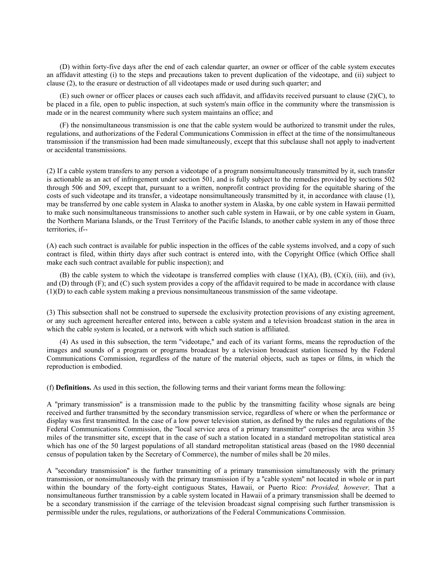(D) within forty-five days after the end of each calendar quarter, an owner or officer of the cable system executes an affidavit attesting (i) to the steps and precautions taken to prevent duplication of the videotape, and (ii) subject to clause (2), to the erasure or destruction of all videotapes made or used during such quarter; and

(E) such owner or officer places or causes each such affidavit, and affidavits received pursuant to clause (2)(C), to be placed in a file, open to public inspection, at such system's main office in the community where the transmission is made or in the nearest community where such system maintains an office; and

(F) the nonsimultaneous transmission is one that the cable system would be authorized to transmit under the rules, regulations, and authorizations of the Federal Communications Commission in effect at the time of the nonsimultaneous transmission if the transmission had been made simultaneously, except that this subclause shall not apply to inadvertent or accidental transmissions.

(2) If a cable system transfers to any person a videotape of a program nonsimultaneously transmitted by it, such transfer is actionable as an act of infringement under section 501, and is fully subject to the remedies provided by sections 502 through 506 and 509, except that, pursuant to a written, nonprofit contract providing for the equitable sharing of the costs of such videotape and its transfer, a videotape nonsimultaneously transmitted by it, in accordance with clause (1), may be transferred by one cable system in Alaska to another system in Alaska, by one cable system in Hawaii permitted to make such nonsimultaneous transmissions to another such cable system in Hawaii, or by one cable system in Guam, the Northern Mariana Islands, or the Trust Territory of the Pacific Islands, to another cable system in any of those three territories, if--

(A) each such contract is available for public inspection in the offices of the cable systems involved, and a copy of such contract is filed, within thirty days after such contract is entered into, with the Copyright Office (which Office shall make each such contract available for public inspection); and

(B) the cable system to which the videotape is transferred complies with clause  $(1)(A)$ ,  $(B)$ ,  $(C)(i)$ ,  $(iii)$ , and  $(iv)$ , and (D) through (F); and (C) such system provides a copy of the affidavit required to be made in accordance with clause (1)(D) to each cable system making a previous nonsimultaneous transmission of the same videotape.

(3) This subsection shall not be construed to supersede the exclusivity protection provisions of any existing agreement, or any such agreement hereafter entered into, between a cable system and a television broadcast station in the area in which the cable system is located, or a network with which such station is affiliated.

(4) As used in this subsection, the term ''videotape,'' and each of its variant forms, means the reproduction of the images and sounds of a program or programs broadcast by a television broadcast station licensed by the Federal Communications Commission, regardless of the nature of the material objects, such as tapes or films, in which the reproduction is embodied.

(f) **Definitions.** As used in this section, the following terms and their variant forms mean the following:

A ''primary transmission'' is a transmission made to the public by the transmitting facility whose signals are being received and further transmitted by the secondary transmission service, regardless of where or when the performance or display was first transmitted. In the case of a low power television station, as defined by the rules and regulations of the Federal Communications Commission, the "local service area of a primary transmitter" comprises the area within 35 miles of the transmitter site, except that in the case of such a station located in a standard metropolitan statistical area which has one of the 50 largest populations of all standard metropolitan statistical areas (based on the 1980 decennial census of population taken by the Secretary of Commerce), the number of miles shall be 20 miles.

A ''secondary transmission'' is the further transmitting of a primary transmission simultaneously with the primary transmission, or nonsimultaneously with the primary transmission if by a ''cable system'' not located in whole or in part within the boundary of the forty-eight contiguous States, Hawaii, or Puerto Rico: *Provided, however,* That a nonsimultaneous further transmission by a cable system located in Hawaii of a primary transmission shall be deemed to be a secondary transmission if the carriage of the television broadcast signal comprising such further transmission is permissible under the rules, regulations, or authorizations of the Federal Communications Commission.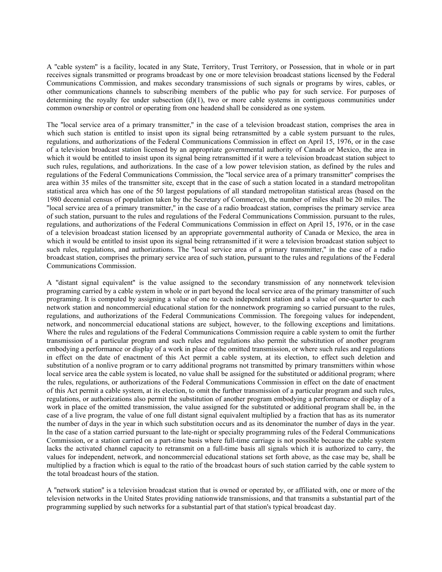A ''cable system'' is a facility, located in any State, Territory, Trust Territory, or Possession, that in whole or in part receives signals transmitted or programs broadcast by one or more television broadcast stations licensed by the Federal Communications Commission, and makes secondary transmissions of such signals or programs by wires, cables, or other communications channels to subscribing members of the public who pay for such service. For purposes of determining the royalty fee under subsection  $(d)(1)$ , two or more cable systems in contiguous communities under common ownership or control or operating from one headend shall be considered as one system.

The ''local service area of a primary transmitter,'' in the case of a television broadcast station, comprises the area in which such station is entitled to insist upon its signal being retransmitted by a cable system pursuant to the rules, regulations, and authorizations of the Federal Communications Commission in effect on April 15, 1976, or in the case of a television broadcast station licensed by an appropriate governmental authority of Canada or Mexico, the area in which it would be entitled to insist upon its signal being retransmitted if it were a television broadcast station subject to such rules, regulations, and authorizations. In the case of a low power television station, as defined by the rules and regulations of the Federal Communications Commission, the ''local service area of a primary transmitter'' comprises the area within 35 miles of the transmitter site, except that in the case of such a station located in a standard metropolitan statistical area which has one of the 50 largest populations of all standard metropolitan statistical areas (based on the 1980 decennial census of population taken by the Secretary of Commerce), the number of miles shall be 20 miles. The ''local service area of a primary transmitter,'' in the case of a radio broadcast station, comprises the primary service area of such station, pursuant to the rules and regulations of the Federal Communications Commission. pursuant to the rules, regulations, and authorizations of the Federal Communications Commission in effect on April 15, 1976, or in the case of a television broadcast station licensed by an appropriate governmental authority of Canada or Mexico, the area in which it would be entitled to insist upon its signal being retransmitted if it were a television broadcast station subject to such rules, regulations, and authorizations. The ''local service area of a primary transmitter,'' in the case of a radio broadcast station, comprises the primary service area of such station, pursuant to the rules and regulations of the Federal Communications Commission.

A ''distant signal equivalent'' is the value assigned to the secondary transmission of any nonnetwork television programing carried by a cable system in whole or in part beyond the local service area of the primary transmitter of such programing. It is computed by assigning a value of one to each independent station and a value of one-quarter to each network station and noncommercial educational station for the nonnetwork programing so carried pursuant to the rules, regulations, and authorizations of the Federal Communications Commission. The foregoing values for independent, network, and noncommercial educational stations are subject, however, to the following exceptions and limitations. Where the rules and regulations of the Federal Communications Commission require a cable system to omit the further transmission of a particular program and such rules and regulations also permit the substitution of another program embodying a performance or display of a work in place of the omitted transmission, or where such rules and regulations in effect on the date of enactment of this Act permit a cable system, at its election, to effect such deletion and substitution of a nonlive program or to carry additional programs not transmitted by primary transmitters within whose local service area the cable system is located, no value shall be assigned for the substituted or additional program; where the rules, regulations, or authorizations of the Federal Communications Commission in effect on the date of enactment of this Act permit a cable system, at its election, to omit the further transmission of a particular program and such rules, regulations, or authorizations also permit the substitution of another program embodying a performance or display of a work in place of the omitted transmission, the value assigned for the substituted or additional program shall be, in the case of a live program, the value of one full distant signal equivalent multiplied by a fraction that has as its numerator the number of days in the year in which such substitution occurs and as its denominator the number of days in the year. In the case of a station carried pursuant to the late-night or specialty programming rules of the Federal Communications Commission, or a station carried on a part-time basis where full-time carriage is not possible because the cable system lacks the activated channel capacity to retransmit on a full-time basis all signals which it is authorized to carry, the values for independent, network, and noncommercial educational stations set forth above, as the case may be, shall be multiplied by a fraction which is equal to the ratio of the broadcast hours of such station carried by the cable system to the total broadcast hours of the station.

A ''network station'' is a television broadcast station that is owned or operated by, or affiliated with, one or more of the television networks in the United States providing nationwide transmissions, and that transmits a substantial part of the programming supplied by such networks for a substantial part of that station's typical broadcast day.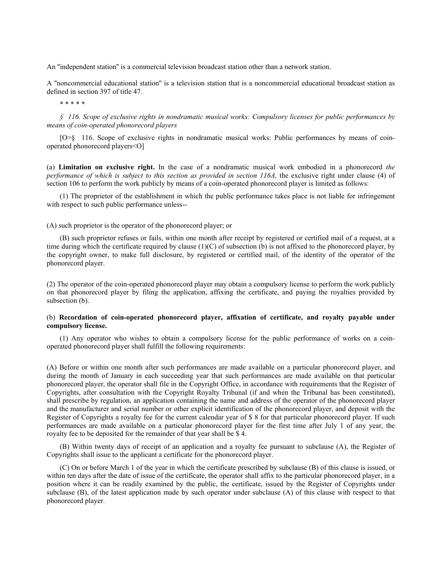An ''independent station'' is a commercial television broadcast station other than a network station.

A ''noncommercial educational station'' is a television station that is a noncommercial educational broadcast station as defined in section 397 of title 47.

\* \* \* \* \*

*§ 116. Scope of exclusive rights in nondramatic musical works: Compulsory licenses for public performances by means of coin-operated phonorecord players*

[O>§ 116. Scope of exclusive rights in nondramatic musical works: Public performances by means of coinoperated phonorecord players<O]

(a) **Limitation on exclusive right.** In the case of a nondramatic musical work embodied in a phonorecord *the performance of which is subject to this section as provided in section 116A,* the exclusive right under clause (4) of section 106 to perform the work publicly by means of a coin-operated phonorecord player is limited as follows:

(1) The proprietor of the establishment in which the public performance takes place is not liable for infringement with respect to such public performance unless--

(A) such proprietor is the operator of the phonorecord player; or

(B) such proprietor refuses or fails, within one month after receipt by registered or certified mail of a request, at a time during which the certificate required by clause  $(1)(C)$  of subsection (b) is not affixed to the phonorecord player, by the copyright owner, to make full disclosure, by registered or certified mail, of the identity of the operator of the phonorecord player.

(2) The operator of the coin-operated phonorecord player may obtain a compulsory license to perform the work publicly on that phonorecord player by filing the application, affixing the certificate, and paying the royalties provided by subsection (b).

## (b) **Recordation of coin-operated phonorecord player, affixation of certificate, and royalty payable under compulsory license.**

(1) Any operator who wishes to obtain a compulsory license for the public performance of works on a coinoperated phonorecord player shall fulfill the following requirements:

(A) Before or within one month after such performances are made available on a particular phonorecord player, and during the month of January in each succeeding year that such performances are made available on that particular phonorecord player, the operator shall file in the Copyright Office, in accordance with requirements that the Register of Copyrights, after consultation with the Copyright Royalty Tribunal (if and when the Tribunal has been constituted), shall prescribe by regulation, an application containing the name and address of the operator of the phonorecord player and the manufacturer and serial number or other explicit identification of the phonorecord player, and deposit with the Register of Copyrights a royalty fee for the current calendar year of \$ 8 for that particular phonorecord player. If such performances are made available on a particular phonorecord player for the first time after July 1 of any year, the royalty fee to be deposited for the remainder of that year shall be \$ 4.

(B) Within twenty days of receipt of an application and a royalty fee pursuant to subclause (A), the Register of Copyrights shall issue to the applicant a certificate for the phonorecord player.

(C) On or before March 1 of the year in which the certificate prescribed by subclause (B) of this clause is issued, or within ten days after the date of issue of the certificate, the operator shall affix to the particular phonorecord player, in a position where it can be readily examined by the public, the certificate, issued by the Register of Copyrights under subclause (B), of the latest application made by such operator under subclause (A) of this clause with respect to that phonorecord player.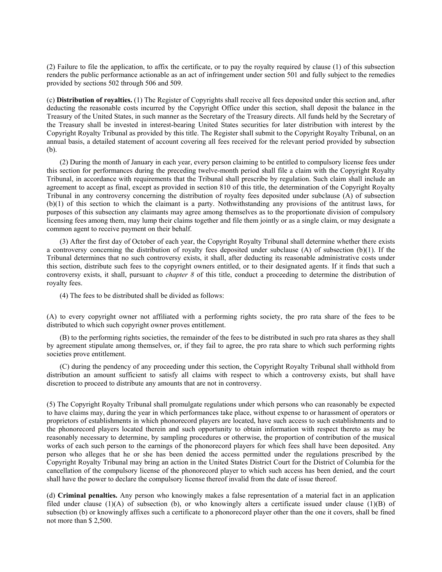(2) Failure to file the application, to affix the certificate, or to pay the royalty required by clause (1) of this subsection renders the public performance actionable as an act of infringement under section 501 and fully subject to the remedies provided by sections 502 through 506 and 509.

(c) **Distribution of royalties.** (1) The Register of Copyrights shall receive all fees deposited under this section and, after deducting the reasonable costs incurred by the Copyright Office under this section, shall deposit the balance in the Treasury of the United States, in such manner as the Secretary of the Treasury directs. All funds held by the Secretary of the Treasury shall be invested in interest-bearing United States securities for later distribution with interest by the Copyright Royalty Tribunal as provided by this title. The Register shall submit to the Copyright Royalty Tribunal, on an annual basis, a detailed statement of account covering all fees received for the relevant period provided by subsection (b).

(2) During the month of January in each year, every person claiming to be entitled to compulsory license fees under this section for performances during the preceding twelve-month period shall file a claim with the Copyright Royalty Tribunal, in accordance with requirements that the Tribunal shall prescribe by regulation. Such claim shall include an agreement to accept as final, except as provided in section 810 of this title, the determination of the Copyright Royalty Tribunal in any controversy concerning the distribution of royalty fees deposited under subclause (A) of subsection (b)(1) of this section to which the claimant is a party. Nothwithstanding any provisions of the antitrust laws, for purposes of this subsection any claimants may agree among themselves as to the proportionate division of compulsory licensing fees among them, may lump their claims together and file them jointly or as a single claim, or may designate a common agent to receive payment on their behalf.

(3) After the first day of October of each year, the Copyright Royalty Tribunal shall determine whether there exists a controversy concerning the distribution of royalty fees deposited under subclause (A) of subsection (b)(1). If the Tribunal determines that no such controversy exists, it shall, after deducting its reasonable administrative costs under this section, distribute such fees to the copyright owners entitled, or to their designated agents. If it finds that such a controversy exists, it shall, pursuant to *chapter 8* of this title, conduct a proceeding to determine the distribution of royalty fees.

(4) The fees to be distributed shall be divided as follows:

(A) to every copyright owner not affiliated with a performing rights society, the pro rata share of the fees to be distributed to which such copyright owner proves entitlement.

(B) to the performing rights societies, the remainder of the fees to be distributed in such pro rata shares as they shall by agreement stipulate among themselves, or, if they fail to agree, the pro rata share to which such performing rights societies prove entitlement.

(C) during the pendency of any proceeding under this section, the Copyright Royalty Tribunal shall withhold from distribution an amount sufficient to satisfy all claims with respect to which a controversy exists, but shall have discretion to proceed to distribute any amounts that are not in controversy.

(5) The Copyright Royalty Tribunal shall promulgate regulations under which persons who can reasonably be expected to have claims may, during the year in which performances take place, without expense to or harassment of operators or proprietors of establishments in which phonorecord players are located, have such access to such establishments and to the phonorecord players located therein and such opportunity to obtain information with respect thereto as may be reasonably necessary to determine, by sampling procedures or otherwise, the proportion of contribution of the musical works of each such person to the earnings of the phonorecord players for which fees shall have been deposited. Any person who alleges that he or she has been denied the access permitted under the regulations prescribed by the Copyright Royalty Tribunal may bring an action in the United States District Court for the District of Columbia for the cancellation of the compulsory license of the phonorecord player to which such access has been denied, and the court shall have the power to declare the compulsory license thereof invalid from the date of issue thereof.

(d) **Criminal penalties.** Any person who knowingly makes a false representation of a material fact in an application filed under clause  $(1)(A)$  of subsection (b), or who knowingly alters a certificate issued under clause  $(1)(B)$  of subsection (b) or knowingly affixes such a certificate to a phonorecord player other than the one it covers, shall be fined not more than \$ 2,500.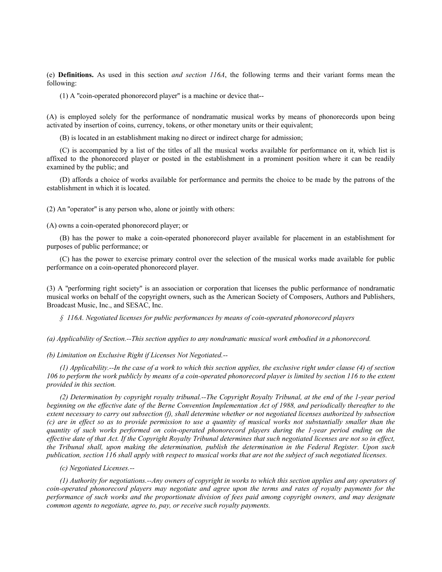(e) **Definitions.** As used in this section *and section 116A*, the following terms and their variant forms mean the following:

(1) A ''coin-operated phonorecord player'' is a machine or device that--

(A) is employed solely for the performance of nondramatic musical works by means of phonorecords upon being activated by insertion of coins, currency, tokens, or other monetary units or their equivalent;

(B) is located in an establishment making no direct or indirect charge for admission;

(C) is accompanied by a list of the titles of all the musical works available for performance on it, which list is affixed to the phonorecord player or posted in the establishment in a prominent position where it can be readily examined by the public; and

(D) affords a choice of works available for performance and permits the choice to be made by the patrons of the establishment in which it is located.

(2) An ''operator'' is any person who, alone or jointly with others:

(A) owns a coin-operated phonorecord player; or

(B) has the power to make a coin-operated phonorecord player available for placement in an establishment for purposes of public performance; or

(C) has the power to exercise primary control over the selection of the musical works made available for public performance on a coin-operated phonorecord player.

(3) A ''performing right society'' is an association or corporation that licenses the public performance of nondramatic musical works on behalf of the copyright owners, such as the American Society of Composers, Authors and Publishers, Broadcast Music, Inc., and SESAC, Inc.

*§ 116A. Negotiated licenses for public performances by means of coin-operated phonorecord players*

*(a) Applicability of Section.--This section applies to any nondramatic musical work embodied in a phonorecord.*

*(b) Limitation on Exclusive Right if Licenses Not Negotiated.--*

*(1) Applicability.--In the case of a work to which this section applies, the exclusive right under clause (4) of section 106 to perform the work publicly by means of a coin-operated phonorecord player is limited by section 116 to the extent provided in this section.*

*(2) Determination by copyright royalty tribunal.--The Copyright Royalty Tribunal, at the end of the 1-year period beginning on the effective date of the Berne Convention Implementation Act of 1988, and periodically thereafter to the extent necessary to carry out subsection (f), shall determine whether or not negotiated licenses authorized by subsection (c) are in effect so as to provide permission to use a quantity of musical works not substantially smaller than the quantity of such works performed on coin-operated phonorecord players during the 1-year period ending on the effective date of that Act. If the Copyright Royalty Tribunal determines that such negotiated licenses are not so in effect, the Tribunal shall, upon making the determination, publish the determination in the Federal Register. Upon such publication, section 116 shall apply with respect to musical works that are not the subject of such negotiated licenses.*

### *(c) Negotiated Licenses.--*

*(1) Authority for negotiations.--Any owners of copyright in works to which this section applies and any operators of coin-operated phonorecord players may negotiate and agree upon the terms and rates of royalty payments for the performance of such works and the proportionate division of fees paid among copyright owners, and may designate common agents to negotiate, agree to, pay, or receive such royalty payments.*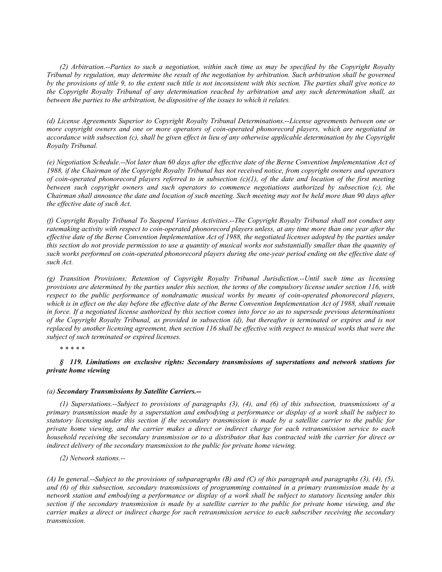*(2) Arbitration.--Parties to such a negotiation, within such time as may be specified by the Copyright Royalty Tribunal by regulation, may determine the result of the negotiation by arbitration. Such arbitration shall be governed by the provisions of title 9, to the extent such title is not inconsistent with this section. The parties shall give notice to the Copyright Royalty Tribunal of any determination reached by arbitration and any such determination shall, as between the parties to the arbitration, be dispositive of the issues to which it relates.*

*(d) License Agreements Superior to Copyright Royalty Tribunal Determinations.--License agreements between one or more copyright owners and one or more operators of coin-operated phonorecord players, which are negotiated in accordance with subsection (c), shall be given effect in lieu of any otherwise applicable determination by the Copyright Royalty Tribunal.*

*(e) Negotiation Schedule.--Not later than 60 days after the effective date of the Berne Convention Implementation Act of 1988, if the Chairman of the Copyright Royalty Tribunal has not received notice, from copyright owners and operators of coin-operated phonorecord players referred to in subsection (c)(1), of the date and location of the first meeting between such copyright owners and such operators to commence negotiations authorized by subsection (c), the Chairman shall announce the date and location of such meeting. Such meeting may not be held more than 90 days after the effective date of such Act.*

*(f) Copyright Royalty Tribunal To Suspend Various Activities.--The Copyright Royalty Tribunal shall not conduct any ratemaking activity with respect to coin-operated phonorecord players unless, at any time more than one year after the effective date of the Berne Convention Implementation Act of 1988, the negotiated licenses adopted by the parties under this section do not provide permission to use a quantity of musical works not substantially smaller than the quantity of such works performed on coin-operated phonorecord players during the one-year period ending on the effective date of such Act.*

*(g) Transition Provisions; Retention of Copyright Royalty Tribunal Jurisdiction.--Until such time as licensing provisions are determined by the parties under this section, the terms of the compulsory license under section 116, with respect to the public performance of nondramatic musical works by means of coin-operated phonorecord players, which is in effect on the day before the effective date of the Berne Convention Implementation Act of 1988, shall remain in force. If a negotiated license authorized by this section comes into force so as to supersede previous determinations of the Copyright Royalty Tribunal, as provided in subsection (d), but thereafter is terminated or expires and is not replaced by another licensing agreement, then section 116 shall be effective with respect to musical works that were the subject of such terminated or expired licenses.*

\* \* \* \* \*

*§ 119. Limitations on exclusive rights: Secondary transmissions of superstations and network stations for private home viewing*

### *(a) Secondary Transmissions by Satellite Carriers.--*

*(1) Superstations.--Subject to provisions of paragraphs (3), (4), and (6) of this subsection, transmissions of a primary transmission made by a superstation and embodying a performance or display of a work shall be subject to statutory licensing under this section if the secondary transmission is made by a satellite carrier to the public for private home viewing, and the carrier makes a direct or indirect charge for each retransmission service to each household receiving the secondary transmission or to a distributor that has contracted with the carrier for direct or indirect delivery of the secondary transmission to the public for private home viewing.*

*(2) Network stations.--*

*(A) In general.--Subject to the provisions of subparagraphs (B) and (C) of this paragraph and paragraphs (3), (4), (5), and (6) of this subsection, secondary transmissions of programming contained in a primary transmission made by a network station and embodying a performance or display of a work shall be subject to statutory licensing under this section if the secondary transmission is made by a satellite carrier to the public for private home viewing, and the carrier makes a direct or indirect charge for such retransmission service to each subscriber receiving the secondary transmission.*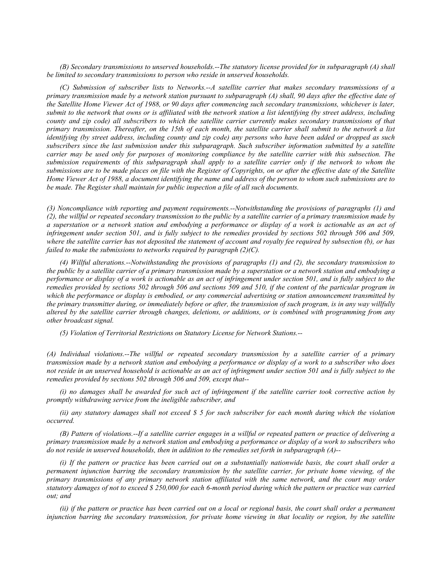*(B) Secondary transmissions to unserved households.--The statutory license provided for in subparagraph (A) shall be limited to secondary transmissions to person who reside in unserved households.*

*(C) Submission of subscriber lists to Networks.--A satellite carrier that makes secondary transmissions of a primary transmission made by a network station pursuant to subparagraph (A) shall, 90 days after the effective date of the Satellite Home Viewer Act of 1988, or 90 days after commencing such secondary transmissions, whichever is later, submit to the network that owns or is affiliated with the network station a list identifying (by street address, including county and zip code) all subscribers to which the satellite carrier currently makes secondary transmissions of that primary transmission. Thereafter, on the 15th of each month, the satellite carrier shall submit to the network a list identifying (by street address, including county and zip code) any persons who have been added or dropped as such subscribers since the last submission under this subparagraph. Such subscriber information submitted by a satellite carrier may be used only for purposes of monitoring compliance by the satellite carrier with this subsection. The submission requirements of this subparagraph shall apply to a satellite carrier only if the network to whom the submissions are to be made places on file with the Register of Copyrights, on or after the effective date of the Satellite Home Viewer Act of 1988, a document identifying the name and address of the person to whom such submissions are to be made. The Register shall maintain for public inspection a file of all such documents.*

*(3) Noncompliance with reporting and payment requirements.--Notwithstanding the provisions of paragraphs (1) and (2), the willful or repeated secondary transmission to the public by a satellite carrier of a primary transmission made by a superstation or a network station and embodying a performance or display of a work is actionable as an act of infringement under section 501, and is fully subject to the remedies provided by sections 502 through 506 and 509, where the satellite carrier has not deposited the statement of account and royalty fee required by subsection (b), or has failed to make the submissions to networks required by paragraph (2)(C).*

*(4) Willful alterations.--Notwithstanding the provisions of paragraphs (1) and (2), the secondary transmission to the public by a satellite carrier of a primary transmission made by a superstation or a network station and embodying a performance or display of a work is actionable as an act of infringement under section 501, and is fully subject to the remedies provided by sections 502 through 506 and sections 509 and 510, if the content of the particular program in which the performance or display is embodied, or any commercial advertising or station announcement transmitted by the primary transmitter during, or immediately before or after, the transmission of such program, is in any way willfully altered by the satellite carrier through changes, deletions, or additions, or is combined with programming from any other broadcast signal.*

*(5) Violation of Territorial Restrictions on Statutory License for Network Stations.--*

*(A) Individual violations.--The willful or repeated secondary transmission by a satellite carrier of a primary transmission made by a network station and embodying a performance or display of a work to a subscriber who does not reside in an unserved household is actionable as an act of infringment under section 501 and is fully subject to the remedies provided by sections 502 through 506 and 509, except that--*

*(i) no damages shall be awarded for such act of infringement if the satellite carrier took corrective action by promptly withdrawing service from the ineligible subscriber, and*

*(ii) any statutory damages shall not exceed \$ 5 for such subscriber for each month during which the violation occurred.*

*(B) Pattern of violations.--If a satellite carrier engages in a willful or repeated pattern or practice of delivering a primary transmission made by a network station and embodying a performance or display of a work to subscribers who do not reside in unserved households, then in addition to the remedies set forth in subparagraph (A)--*

*(i) If the pattern or practice has been carried out on a substantially nationwide basis, the court shall order a permanent injunction barring the secondary transmission by the satellite carrier, for private home viewing, of the primary transmissions of any primary network station affiliated with the same network, and the court may order statutory damages of not to exceed \$ 250,000 for each 6-month period during which the pattern or practice was carried out; and*

*(ii) if the pattern or practice has been carried out on a local or regional basis, the court shall order a permanent injunction barring the secondary transmission, for private home viewing in that locality or region, by the satellite*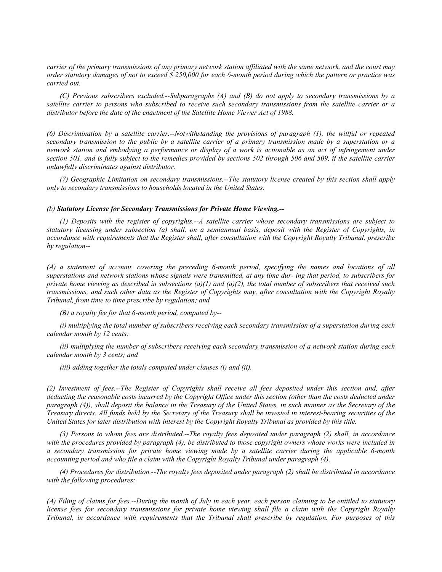*carrier of the primary transmissions of any primary network station affiliated with the same network, and the court may order statutory damages of not to exceed \$ 250,000 for each 6-month period during which the pattern or practice was carried out.*

*(C) Previous subscribers excluded.--Subparagraphs (A) and (B) do not apply to secondary transmissions by a satellite carrier to persons who subscribed to receive such secondary transmissions from the satellite carrier or a distributor before the date of the enactment of the Satellite Home Viewer Act of 1988.*

*(6) Discrimination by a satellite carrier.--Notwithstanding the provisions of paragraph (1), the willful or repeated secondary transmission to the public by a satellite carrier of a primary transmission made by a superstation or a network station and embodying a performance or display of a work is actionable as an act of infringement under section 501, and is fully subject to the remedies provided by sections 502 through 506 and 509, if the satellite carrier unlawfully discriminates against distributor.*

*(7) Geographic Limitation on secondary transmissions.--The statutory license created by this section shall apply only to secondary transmissions to households located in the United States.*

#### *(b) Statutory License for Secondary Transmissions for Private Home Viewing.--*

*(1) Deposits with the register of copyrights.--A satellite carrier whose secondary transmissions are subject to statutory licensing under subsection (a) shall, on a semiannual basis, deposit with the Register of Copyrights, in accordance with requirements that the Register shall, after consultation with the Copyright Royalty Tribunal, prescribe by regulation--*

*(A) a statement of account, covering the preceding 6-month period, specifying the names and locations of all superstations and network stations whose signals were transmitted, at any time dur- ing that period, to subscribers for private home viewing as described in subsections (a)(1) and (a)(2), the total number of subscribers that received such transmissions, and such other data as the Register of Copyrights may, after consultation with the Copyright Royalty Tribunal, from time to time prescribe by regulation; and*

*(B) a royalty fee for that 6-month period, computed by--*

*(i) multiplying the total number of subscribers receiving each secondary transmission of a superstation during each calendar month by 12 cents;*

*(ii) multiplying the number of subscribers receiving each secondary transmission of a network station during each calendar month by 3 cents; and*

*(iii) adding together the totals computed under clauses (i) and (ii).*

*(2) Investment of fees.--The Register of Copyrights shall receive all fees deposited under this section and, after deducting the reasonable costs incurred by the Copyright Office under this section (other than the costs deducted under paragraph (4)), shall deposit the balance in the Treasury of the United States, in such manner as the Secretary of the Treasury directs. All funds held by the Secretary of the Treasury shall be invested in interest-bearing securities of the United States for later distribution with interest by the Copyright Royalty Tribunal as provided by this title.*

*(3) Persons to whom fees are distributed.--The royalty fees deposited under paragraph (2) shall, in accordance*  with the procedures provided by paragraph (4), be distributed to those copyright owners whose works were included in *a secondary transmission for private home viewing made by a satellite carrier during the applicable 6-month accounting period and who file a claim with the Copyright Royalty Tribunal under paragraph (4).*

*(4) Procedures for distribution.--The royalty fees deposited under paragraph (2) shall be distributed in accordance with the following procedures:*

*(A) Filing of claims for fees.--During the month of July in each year, each person claiming to be entitled to statutory license fees for secondary transmissions for private home viewing shall file a claim with the Copyright Royalty Tribunal, in accordance with requirements that the Tribunal shall prescribe by regulation. For purposes of this*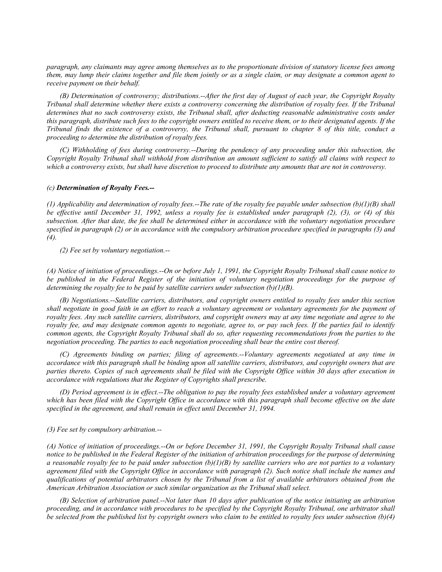*paragraph, any claimants may agree among themselves as to the proportionate division of statutory license fees among them, may lump their claims together and file them jointly or as a single claim, or may designate a common agent to receive payment on their behalf.*

*(B) Determination of controversy; distributions.--After the first day of August of each year, the Copyright Royalty Tribunal shall determine whether there exists a controversy concerning the distribution of royalty fees. If the Tribunal determines that no such controversy exists, the Tribunal shall, after deducting reasonable administrative costs under this paragraph, distribute such fees to the copyright owners entitled to receive them, or to their designated agents. If the Tribunal finds the existence of a controversy, the Tribunal shall, pursuant to chapter 8 of this title, conduct a proceeding to determine the distribution of royalty fees.*

*(C) Withholding of fees during controversy.--During the pendency of any proceeding under this subsection, the Copyright Royalty Tribunal shall withhold from distribution an amount sufficient to satisfy all claims with respect to which a controversy exists, but shall have discretion to proceed to distribute any amounts that are not in controversy.*

#### *(c) Determination of Royalty Fees.--*

*(1) Applicability and determination of royalty fees.--The rate of the royalty fee payable under subsection (b)(1)(B) shall be effective until December 31, 1992, unless a royalty fee is established under paragraph (2), (3), or (4) of this subsection. After that date, the fee shall be determined either in accordance with the voluntary negotiation procedure specified in paragraph (2) or in accordance with the compulsory arbitration procedure specified in paragraphs (3) and (4).*

*(2) Fee set by voluntary negotiation.--*

*(A) Notice of initiation of proceedings.--On or before July 1, 1991, the Copyright Royalty Tribunal shall cause notice to be published in the Federal Register of the initiation of voluntary negotiation proceedings for the purpose of determining the royalty fee to be paid by satellite carriers under subsection (b)(1)(B).*

*(B) Negotiations.--Satellite carriers, distributors, and copyright owners entitled to royalty fees under this section shall negotiate in good faith in an effort to reach a voluntary agreement or voluntary agreements for the payment of royalty fees. Any such satellite carriers, distributors, and copyright owners may at any time negotiate and agree to the royalty fee, and may designate common agents to negotiate, agree to, or pay such fees. If the parties fail to identify common agents, the Copyright Royalty Tribunal shall do so, after requesting recommendations from the parties to the negotiation proceeding. The parties to each negotiation proceeding shall bear the entire cost thereof.*

*(C) Agreements binding on parties; filing of agreements.--Voluntary agreements negotiated at any time in accordance with this paragraph shall be binding upon all satellite carriers, distributors, and copyright owners that are parties thereto. Copies of such agreements shall be filed with the Copyright Office within 30 days after execution in accordance with regulations that the Register of Copyrights shall prescribe.*

*(D) Period agreement is in effect.--The obligation to pay the royalty fees established under a voluntary agreement*  which has been filed with the Copyright Office in accordance with this paragraph shall become effective on the date *specified in the agreement, and shall remain in effect until December 31, 1994.*

#### *(3) Fee set by compulsory arbitration.--*

*(A) Notice of initiation of proceedings.--On or before December 31, 1991, the Copyright Royalty Tribunal shall cause notice to be published in the Federal Register of the initiation of arbitration proceedings for the purpose of determining a reasonable royalty fee to be paid under subsection (b)(1)(B) by satellite carriers who are not parties to a voluntary agreement filed with the Copyright Office in accordance with paragraph (2). Such notice shall include the names and qualifications of potential arbitrators chosen by the Tribunal from a list of available arbitrators obtained from the American Arbitration Association or such similar organization as the Tribunal shall select.*

*(B) Selection of arbitration panel.--Not later than 10 days after publication of the notice initiating an arbitration proceeding, and in accordance with procedures to be specified by the Copyright Royalty Tribunal, one arbitrator shall be selected from the published list by copyright owners who claim to be entitled to royalty fees under subsection (b)(4)*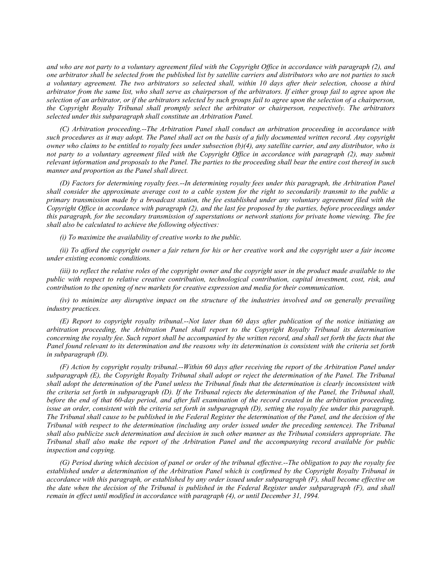*and who are not party to a voluntary agreement filed with the Copyright Office in accordance with paragraph (2), and one arbitrator shall be selected from the published list by satellite carriers and distributors who are not parties to such a voluntary agreement. The two arbitrators so selected shall, within 10 days after their selection, choose a third arbitrator from the same list, who shall serve as chairperson of the arbitrators. If either group fail to agree upon the selection of an arbitrator, or if the arbitrators selected by such groups fail to agree upon the selection of a chairperson, the Copyright Royalty Tribunal shall promptly select the arbitrator or chairperson, respectively. The arbitrators selected under this subparagraph shall constitute an Arbitration Panel.*

*(C) Arbitration proceeding.--The Arbitration Panel shall conduct an arbitration proceeding in accordance with such procedures as it may adopt. The Panel shall act on the basis of a fully documented written record. Any copyright owner who claims to be entitled to royalty fees under subsection (b)(4), any satellite carrier, and any distributor, who is*  not party to a voluntary agreement filed with the Copyright Office in accordance with paragraph (2), may submit *relevant information and proposals to the Panel. The parties to the proceeding shall bear the entire cost thereof in such manner and proportion as the Panel shall direct.*

*(D) Factors for determining royalty fees.--In determining royalty fees under this paragraph, the Arbitration Panel shall consider the approximate average cost to a cable system for the right to secondarily transmit to the public a primary transmission made by a broadcast station, the fee established under any voluntary agreement filed with the Copyright Office in accordance with paragraph (2), and the last fee proposed by the parties, before proceedings under this paragraph, for the secondary transmission of superstations or network stations for private home viewing. The fee shall also be calculated to achieve the following objectives:*

*(i) To maximize the availability of creative works to the public.*

*(ii) To afford the copyright owner a fair return for his or her creative work and the copyright user a fair income under existing economic conditions.*

*(iii) to reflect the relative roles of the copyright owner and the copyright user in the product made available to the public with respect to relative creative contribution, technological contribution, capital investment, cost, risk, and contribution to the opening of new markets for creative expression and media for their communication.*

*(iv) to minimize any disruptive impact on the structure of the industries involved and on generally prevailing industry practices.*

*(E) Report to copyright royalty tribunal.--Not later than 60 days after publication of the notice initiating an arbitration proceeding, the Arbitration Panel shall report to the Copyright Royalty Tribunal its determination*  concerning the royalty fee. Such report shall be accompanied by the written record, and shall set forth the facts that the *Panel found relevant to its determination and the reasons why its determination is consistent with the criteria set forth in subparagraph (D).*

*(F) Action by copyright royalty tribunal.--Within 60 days after receiving the report of the Arbitration Panel under subparagraph (E), the Copyright Royalty Tribunal shall adopt or reject the determination of the Panel. The Tribunal shall adopt the determination of the Panel unless the Tribunal finds that the determination is clearly inconsistent with the criteria set forth in subparagraph (D). If the Tribunal rejects the determination of the Panel, the Tribunal shall, before the end of that 60-day period, and after full examination of the record created in the arbitration proceeding, issue an order, consistent with the criteria set forth in subparagraph (D), setting the royalty fee under this paragraph. The Tribunal shall cause to be published in the Federal Register the determination of the Panel, and the decision of the Tribunal with respect to the determination (including any order issued under the preceding sentence). The Tribunal shall also publicize such determination and decision in such other manner as the Tribunal considers appropriate. The Tribunal shall also make the report of the Arbitration Panel and the accompanying record available for public inspection and copying.*

*(G) Period during which decision of panel or order of the tribunal effective.--The obligation to pay the royalty fee established under a determination of the Arbitration Panel which is confirmed by the Copyright Royalty Tribunal in accordance with this paragraph, or established by any order issued under subparagraph (F), shall become effective on the date when the decision of the Tribunal is published in the Federal Register under subparagraph (F), and shall remain in effect until modified in accordance with paragraph (4), or until December 31, 1994.*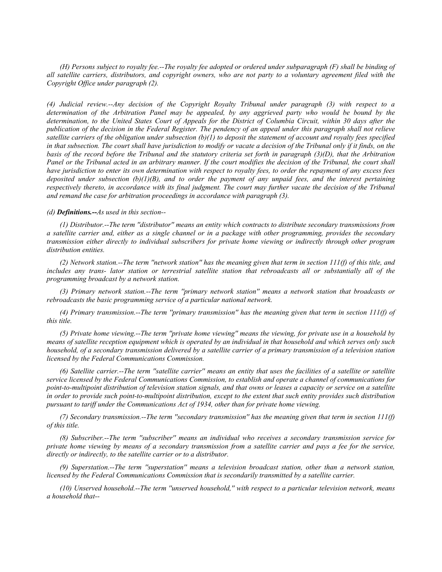*(H) Persons subject to royalty fee.--The royalty fee adopted or ordered under subparagraph (F) shall be binding of all satellite carriers, distributors, and copyright owners, who are not party to a voluntary agreement filed with the Copyright Office under paragraph (2).*

*(4) Judicial review.--Any decision of the Copyright Royalty Tribunal under paragraph (3) with respect to a determination of the Arbitration Panel may be appealed, by any aggrieved party who would be bound by the determination, to the United States Court of Appeals for the District of Columbia Circuit, within 30 days after the publication of the decision in the Federal Register. The pendency of an appeal under this paragraph shall not relieve satellite carriers of the obligation under subsection (b)(1) to deposit the statement of account and royalty fees specified*  in that subsection. The court shall have jurisdiction to modify or vacate a decision of the Tribunal only if it finds, on the *basis of the record before the Tribunal and the statutory criteria set forth in paragraph (3)(D), that the Arbitration Panel or the Tribunal acted in an arbitrary manner. If the court modifies the decision of the Tribunal, the court shall have jurisdiction to enter its own determination with respect to royalty fees, to order the repayment of any excess fees deposited under subsection (b)(1)(B), and to order the payment of any unpaid fees, and the interest pertaining respectively thereto, in accordance with its final judgment. The court may further vacate the decision of the Tribunal and remand the case for arbitration proceedings in accordance with paragraph (3).*

## *(d) Definitions.--As used in this section--*

*(1) Distributor.--The term ''distributor'' means an entity which contracts to distribute secondary transmissions from a satellite carrier and, either as a single channel or in a package with other programming, provides the secondary transmission either directly to individual subscribers for private home viewing or indirectly through other program distribution entities.*

*(2) Network station.--The term ''network station'' has the meaning given that term in section 111(f) of this title, and*  includes any trans- lator station or terrestrial satellite station that rebroadcasts all or substantially all of the *programming broadcast by a network station.*

*(3) Primary network station.--The term ''primary network station'' means a network station that broadcasts or rebroadcasts the basic programming service of a particular national network.*

*(4) Primary transmission.--The term ''primary transmission'' has the meaning given that term in section 111(f) of this title.*

*(5) Private home viewing.--The term ''private home viewing'' means the viewing, for private use in a household by means of satellite reception equipment which is operated by an individual in that household and which serves only such household, of a secondary transmission delivered by a satellite carrier of a primary transmission of a television station licensed by the Federal Communications Commission.*

*(6) Satellite carrier.--The term ''satellite carrier'' means an entity that uses the facilities of a satellite or satellite service licensed by the Federal Communications Commission, to establish and operate a channel of communications for point-to-multipoint distribution of television station signals, and that owns or leases a capacity or service on a satellite in order to provide such point-to-multipoint distribution, except to the extent that such entity provides such distribution pursuant to tariff under the Communications Act of 1934, other than for private home viewing.*

*(7) Secondary transmission.--The term ''secondary transmission'' has the meaning given that term in section 111(f) of this title.*

*(8) Subscriber.--The term ''subscriber'' means an individual who receives a secondary transmission service for private home viewing by means of a secondary transmission from a satellite carrier and pays a fee for the service, directly or indirectly, to the satellite carrier or to a distributor.*

*(9) Superstation.--The term ''superstation'' means a television broadcast station, other than a network station, licensed by the Federal Communications Commission that is secondarily transmitted by a satellite carrier.*

*(10) Unserved household.--The term ''unserved household,'' with respect to a particular television network, means a household that--*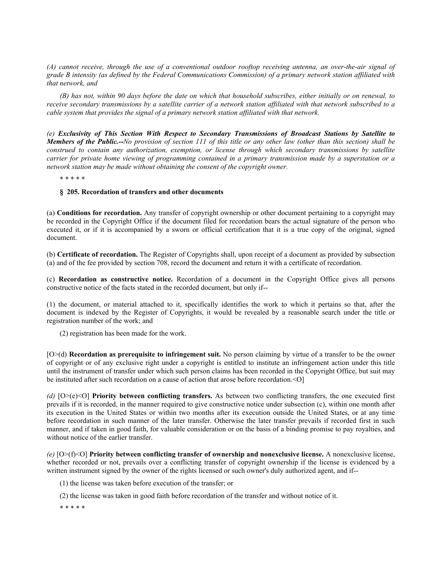*(A) cannot receive, through the use of a conventional outdoor rooftop receiving antenna, an over-the-air signal of grade B intensity (as defined by the Federal Communications Commission) of a primary network station affiliated with that network, and*

*(B) has not, within 90 days before the date on which that household subscribes, either initially or on renewal, to receive secondary transmissions by a satellite carrier of a network station affiliated with that network subscribed to a cable system that provides the signal of a primary network station affiliated with that network.*

*(e) Exclusivity of This Section With Respect to Secondary Transmissions of Broadcast Stations by Satellite to Members of the Public.--No provision of section 111 of this title or any other law (other than this section) shall be construed to contain any authorization, exemption, or license through which secondary transmissions by satellite carrier for private home viewing of programming contained in a primary transmission made by a superstation or a network station may be made without obtaining the consent of the copyright owner.*

\* \* \* \* \*

### **§ 205. Recordation of transfers and other documents**

(a) **Conditions for recordation.** Any transfer of copyright ownership or other document pertaining to a copyright may be recorded in the Copyright Office if the document filed for recordation bears the actual signature of the person who executed it, or if it is accompanied by a sworn or official certification that it is a true copy of the original, signed document.

(b) **Certificate of recordation.** The Register of Copyrights shall, upon receipt of a document as provided by subsection (a) and of the fee provided by section 708, record the document and return it with a certificate of recordation.

(c) **Recordation as constructive notice.** Recordation of a document in the Copyright Office gives all persons constructive notice of the facts stated in the recorded document, but only if--

(1) the document, or material attached to it, specifically identifies the work to which it pertains so that, after the document is indexed by the Register of Copyrights, it would be revealed by a reasonable search under the title or registration number of the work; and

(2) registration has been made for the work.

[O>(d) **Recordation as prerequisite to infringement suit.** No person claiming by virtue of a transfer to be the owner of copyright or of any exclusive right under a copyright is entitled to institute an infringement action under this title until the instrument of transfer under which such person claims has been recorded in the Copyright Office, but suit may be instituted after such recordation on a cause of action that arose before recordation.<O]

*(d)* [O>(e)<O] **Priority between conflicting transfers.** As between two conflicting transfers, the one executed first prevails if it is recorded, in the manner required to give constructive notice under subsection (c), within one month after its execution in the United States or within two months after its execution outside the United States, or at any time before recordation in such manner of the later transfer. Otherwise the later transfer prevails if recorded first in such manner, and if taken in good faith, for valuable consideration or on the basis of a binding promise to pay royalties, and without notice of the earlier transfer.

*(e)* [O>(f)<O] **Priority between conflicting transfer of ownership and nonexclusive license.** A nonexclusive license, whether recorded or not, prevails over a conflicting transfer of copyright ownership if the license is evidenced by a written instrument signed by the owner of the rights licensed or such owner's duly authorized agent, and if--

(1) the license was taken before execution of the transfer; or

(2) the license was taken in good faith before recordation of the transfer and without notice of it.

\* \* \* \* \*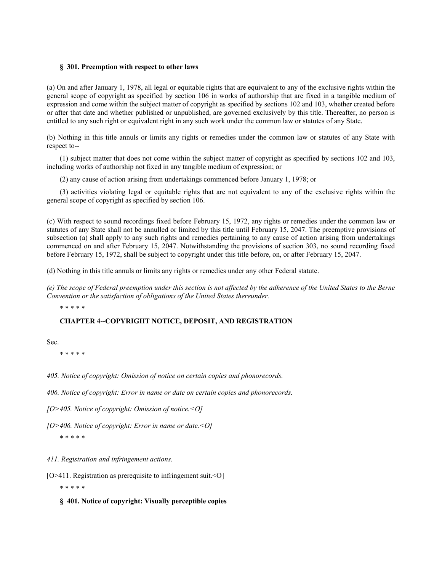### **§ 301. Preemption with respect to other laws**

(a) On and after January 1, 1978, all legal or equitable rights that are equivalent to any of the exclusive rights within the general scope of copyright as specified by section 106 in works of authorship that are fixed in a tangible medium of expression and come within the subject matter of copyright as specified by sections 102 and 103, whether created before or after that date and whether published or unpublished, are governed exclusively by this title. Thereafter, no person is entitled to any such right or equivalent right in any such work under the common law or statutes of any State.

(b) Nothing in this title annuls or limits any rights or remedies under the common law or statutes of any State with respect to--

(1) subject matter that does not come within the subject matter of copyright as specified by sections 102 and 103, including works of authorship not fixed in any tangible medium of expression; or

(2) any cause of action arising from undertakings commenced before January 1, 1978; or

(3) activities violating legal or equitable rights that are not equivalent to any of the exclusive rights within the general scope of copyright as specified by section 106.

(c) With respect to sound recordings fixed before February 15, 1972, any rights or remedies under the common law or statutes of any State shall not be annulled or limited by this title until February 15, 2047. The preemptive provisions of subsection (a) shall apply to any such rights and remedies pertaining to any cause of action arising from undertakings commenced on and after February 15, 2047. Notwithstanding the provisions of section 303, no sound recording fixed before February 15, 1972, shall be subject to copyright under this title before, on, or after February 15, 2047.

(d) Nothing in this title annuls or limits any rights or remedies under any other Federal statute.

*(e) The scope of Federal preemption under this section is not affected by the adherence of the United States to the Berne Convention or the satisfaction of obligations of the United States thereunder.*

\* \* \* \* \*

## **CHAPTER 4--COPYRIGHT NOTICE, DEPOSIT, AND REGISTRATION**

Sec.

```
* * * * *
```
*405. Notice of copyright: Omission of notice on certain copies and phonorecords.*

*406. Notice of copyright: Error in name or date on certain copies and phonorecords.*

*[O>405. Notice of copyright: Omission of notice.<O]*

*[O>406. Notice of copyright: Error in name or date.<O]* \* \* \* \* \*

*411. Registration and infringement actions.*

[O>411. Registration as prerequisite to infringement suit.<O]

\* \* \* \* \*

**§ 401. Notice of copyright: Visually perceptible copies**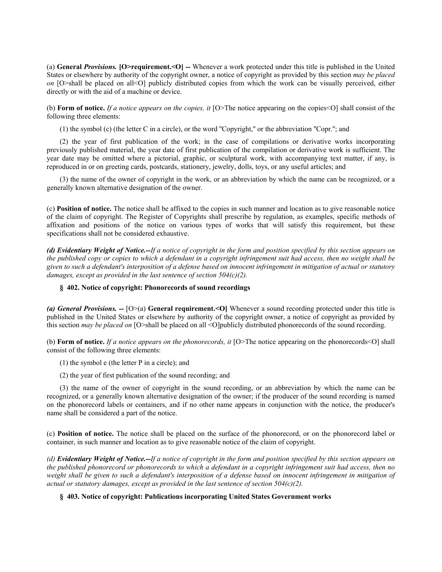(a) **General** *Provisions.* **[O>requirement.<O] --** Whenever a work protected under this title is published in the United States or elsewhere by authority of the copyright owner, a notice of copyright as provided by this section *may be placed on* [O>shall be placed on all<O] publicly distributed copies from which the work can be visually perceived, either directly or with the aid of a machine or device.

(b) **Form of notice.** *If a notice appears on the copies, it* [O>The notice appearing on the copies<O] shall consist of the following three elements:

(1) the symbol (c) (the letter C in a circle), or the word ''Copyright,'' or the abbreviation ''Copr.''; and

(2) the year of first publication of the work; in the case of compilations or derivative works incorporating previously published material, the year date of first publication of the compilation or derivative work is sufficient. The year date may be omitted where a pictorial, graphic, or sculptural work, with accompanying text matter, if any, is reproduced in or on greeting cards, postcards, stationery, jewelry, dolls, toys, or any useful articles; and

(3) the name of the owner of copyright in the work, or an abbreviation by which the name can be recognized, or a generally known alternative designation of the owner.

(c) **Position of notice.** The notice shall be affixed to the copies in such manner and location as to give reasonable notice of the claim of copyright. The Register of Copyrights shall prescribe by regulation, as examples, specific methods of affixation and positions of the notice on various types of works that will satisfy this requirement, but these specifications shall not be considered exhaustive.

*(d) Evidentiary Weight of Notice.--If a notice of copyright in the form and position specified by this section appears on the published copy or copies to which a defendant in a copyright infringement suit had access, then no weight shall be given to such a defendant's interposition of a defense based on innocent infringement in mitigation of actual or statutory damages, except as provided in the last sentence of section 504(c)(2).*

### **§ 402. Notice of copyright: Phonorecords of sound recordings**

(a) General Provisions.  $[O>(a)$  General requirement.  $O$  Whenever a sound recording protected under this title is published in the United States or elsewhere by authority of the copyright owner, a notice of copyright as provided by this section *may be placed on* [O>shall be placed on all <O]publicly distributed phonorecords of the sound recording.

(b) **Form of notice.** *If a notice appears on the phonorecords, it* [O>The notice appearing on the phonorecords<O] shall consist of the following three elements:

- (1) the symbol e (the letter P in a circle); and
- (2) the year of first publication of the sound recording; and

(3) the name of the owner of copyright in the sound recording, or an abbreviation by which the name can be recognized, or a generally known alternative designation of the owner; if the producer of the sound recording is named on the phonorecord labels or containers, and if no other name appears in conjunction with the notice, the producer's name shall be considered a part of the notice.

(c) **Position of notice.** The notice shall be placed on the surface of the phonorecord, or on the phonorecord label or container, in such manner and location as to give reasonable notice of the claim of copyright.

*(d) Evidentiary Weight of Notice.--If a notice of copyright in the form and position specified by this section appears on the published phonorecord or phonorecords to which a defendant in a copyright infringement suit had access, then no*  weight shall be given to such a defendant's interposition of a defense based on innocent infringement in mitigation of *actual or statutory damages, except as provided in the last sentence of section 504(c)(2).*

## **§ 403. Notice of copyright: Publications incorporating United States Government works**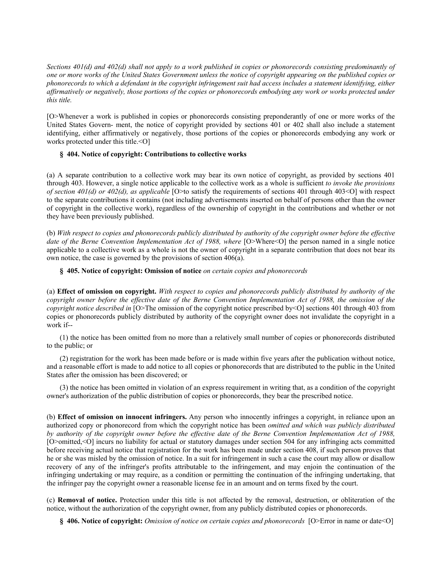*Sections 401(d) and 402(d) shall not apply to a work published in copies or phonorecords consisting predominantly of one or more works of the United States Government unless the notice of copyright appearing on the published copies or phonorecords to which a defendant in the copyright infringement suit had access includes a statement identifying, either affirmatively or negatively, those portions of the copies or phonorecords embodying any work or works protected under this title.*

[O>Whenever a work is published in copies or phonorecords consisting preponderantly of one or more works of the United States Govern- ment, the notice of copyright provided by sections 401 or 402 shall also include a statement identifying, either affirmatively or negatively, those portions of the copies or phonorecords embodying any work or works protected under this title.<O]

## **§ 404. Notice of copyright: Contributions to collective works**

(a) A separate contribution to a collective work may bear its own notice of copyright, as provided by sections 401 through 403. However, a single notice applicable to the collective work as a whole is sufficient *to invoke the provisions of section 401(d) or 402(d), as applicable* [O>to satisfy the requirements of sections 401 through 403<O] with respect to the separate contributions it contains (not including advertisements inserted on behalf of persons other than the owner of copyright in the collective work), regardless of the ownership of copyright in the contributions and whether or not they have been previously published.

(b) *With respect to copies and phonorecords publicly distributed by authority of the copyright owner before the effective date of the Berne Convention Implementation Act of 1988, where* [O>Where<O] the person named in a single notice applicable to a collective work as a whole is not the owner of copyright in a separate contribution that does not bear its own notice, the case is governed by the provisions of section 406(a).

## **§ 405. Notice of copyright: Omission of notice** *on certain copies and phonorecords*

(a) **Effect of omission on copyright.** *With respect to copies and phonorecords publicly distributed by authority of the copyright owner before the effective date of the Berne Convention Implementation Act of 1988, the omission of the copyright notice described in* [O>The omission of the copyright notice prescribed by<O] sections 401 through 403 from copies or phonorecords publicly distributed by authority of the copyright owner does not invalidate the copyright in a work if--

(1) the notice has been omitted from no more than a relatively small number of copies or phonorecords distributed to the public; or

(2) registration for the work has been made before or is made within five years after the publication without notice, and a reasonable effort is made to add notice to all copies or phonorecords that are distributed to the public in the United States after the omission has been discovered; or

(3) the notice has been omitted in violation of an express requirement in writing that, as a condition of the copyright owner's authorization of the public distribution of copies or phonorecords, they bear the prescribed notice.

(b) **Effect of omission on innocent infringers.** Any person who innocently infringes a copyright, in reliance upon an authorized copy or phonorecord from which the copyright notice has been *omitted and which was publicly distributed by authority of the copyright owner before the effective date of the Berne Convention Implementation Act of 1988,* [O>omitted,<O] incurs no liability for actual or statutory damages under section 504 for any infringing acts committed before receiving actual notice that registration for the work has been made under section 408, if such person proves that he or she was misled by the omission of notice. In a suit for infringement in such a case the court may allow or disallow recovery of any of the infringer's profits attributable to the infringement, and may enjoin the continuation of the infringing undertaking or may require, as a condition or permitting the continuation of the infringing undertaking, that the infringer pay the copyright owner a reasonable license fee in an amount and on terms fixed by the court.

(c) **Removal of notice.** Protection under this title is not affected by the removal, destruction, or obliteration of the notice, without the authorization of the copyright owner, from any publicly distributed copies or phonorecords.

**§ 406. Notice of copyright:** *Omission of notice on certain copies and phonorecords* [O>Error in name or date<O]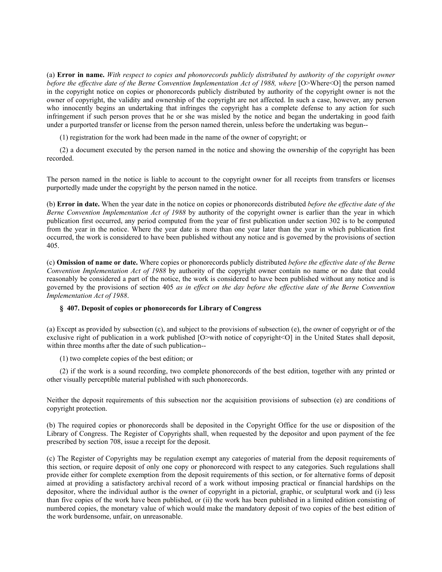(a) **Error in name.** *With respect to copies and phonorecords publicly distributed by authority of the copyright owner before the effective date of the Berne Convention Implementation Act of 1988, where* [O>Where<O] the person named in the copyright notice on copies or phonorecords publicly distributed by authority of the copyright owner is not the owner of copyright, the validity and ownership of the copyright are not affected. In such a case, however, any person who innocently begins an undertaking that infringes the copyright has a complete defense to any action for such infringement if such person proves that he or she was misled by the notice and began the undertaking in good faith under a purported transfer or license from the person named therein, unless before the undertaking was begun--

(1) registration for the work had been made in the name of the owner of copyright; or

(2) a document executed by the person named in the notice and showing the ownership of the copyright has been recorded.

The person named in the notice is liable to account to the copyright owner for all receipts from transfers or licenses purportedly made under the copyright by the person named in the notice.

(b) **Error in date.** When the year date in the notice on copies or phonorecords distributed *before the effective date of the Berne Convention Implementation Act of 1988* by authority of the copyright owner is earlier than the year in which publication first occurred, any period computed from the year of first publication under section 302 is to be computed from the year in the notice. Where the year date is more than one year later than the year in which publication first occurred, the work is considered to have been published without any notice and is governed by the provisions of section 405.

(c) **Omission of name or date.** Where copies or phonorecords publicly distributed *before the effective date of the Berne Convention Implementation Act of 1988* by authority of the copyright owner contain no name or no date that could reasonably be considered a part of the notice, the work is considered to have been published without any notice and is governed by the provisions of section 405 *as in effect on the day before the effective date of the Berne Convention Implementation Act of 1988*.

## **§ 407. Deposit of copies or phonorecords for Library of Congress**

(a) Except as provided by subsection (c), and subject to the provisions of subsection (e), the owner of copyright or of the exclusive right of publication in a work published [O>with notice of copyright<O] in the United States shall deposit, within three months after the date of such publication--

(1) two complete copies of the best edition; or

(2) if the work is a sound recording, two complete phonorecords of the best edition, together with any printed or other visually perceptible material published with such phonorecords.

Neither the deposit requirements of this subsection nor the acquisition provisions of subsection (e) are conditions of copyright protection.

(b) The required copies or phonorecords shall be deposited in the Copyright Office for the use or disposition of the Library of Congress. The Register of Copyrights shall, when requested by the depositor and upon payment of the fee prescribed by section 708, issue a receipt for the deposit.

(c) The Register of Copyrights may be regulation exempt any categories of material from the deposit requirements of this section, or require deposit of only one copy or phonorecord with respect to any categories. Such regulations shall provide either for complete exemption from the deposit requirements of this section, or for alternative forms of deposit aimed at providing a satisfactory archival record of a work without imposing practical or financial hardships on the depositor, where the individual author is the owner of copyright in a pictorial, graphic, or sculptural work and (i) less than five copies of the work have been published, or (ii) the work has been published in a limited edition consisting of numbered copies, the monetary value of which would make the mandatory deposit of two copies of the best edition of the work burdensome, unfair, on unreasonable.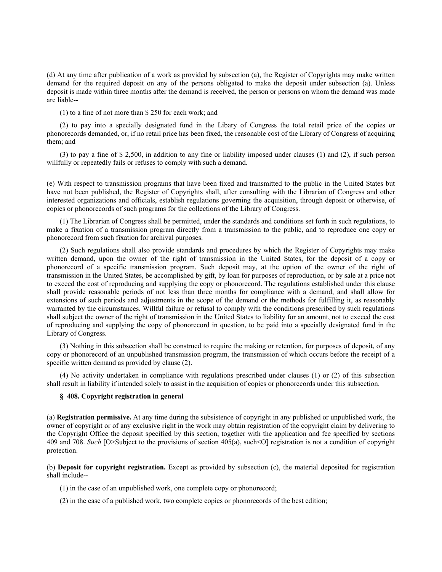(d) At any time after publication of a work as provided by subsection (a), the Register of Copyrights may make written demand for the required deposit on any of the persons obligated to make the deposit under subsection (a). Unless deposit is made within three months after the demand is received, the person or persons on whom the demand was made are liable--

(1) to a fine of not more than \$ 250 for each work; and

(2) to pay into a specially designated fund in the Libary of Congress the total retail price of the copies or phonorecords demanded, or, if no retail price has been fixed, the reasonable cost of the Library of Congress of acquiring them; and

(3) to pay a fine of \$ 2,500, in addition to any fine or liability imposed under clauses (1) and (2), if such person willfully or repeatedly fails or refuses to comply with such a demand.

(e) With respect to transmission programs that have been fixed and transmitted to the public in the United States but have not been published, the Register of Copyrights shall, after consulting with the Librarian of Congress and other interested organizations and officials, establish regulations governing the acquisition, through deposit or otherwise, of copies or phonorecords of such programs for the collections of the Library of Congress.

(1) The Librarian of Congress shall be permitted, under the standards and conditions set forth in such regulations, to make a fixation of a transmission program directly from a transmission to the public, and to reproduce one copy or phonorecord from such fixation for archival purposes.

(2) Such regulations shall also provide standards and procedures by which the Register of Copyrights may make written demand, upon the owner of the right of transmission in the United States, for the deposit of a copy or phonorecord of a specific transmission program. Such deposit may, at the option of the owner of the right of transmission in the United States, be accomplished by gift, by loan for purposes of reproduction, or by sale at a price not to exceed the cost of reproducing and supplying the copy or phonorecord. The regulations established under this clause shall provide reasonable periods of not less than three months for compliance with a demand, and shall allow for extensions of such periods and adjustments in the scope of the demand or the methods for fulfilling it, as reasonably warranted by the circumstances. Willful failure or refusal to comply with the conditions prescribed by such regulations shall subject the owner of the right of transmission in the United States to liability for an amount, not to exceed the cost of reproducing and supplying the copy of phonorecord in question, to be paid into a specially designated fund in the Library of Congress.

(3) Nothing in this subsection shall be construed to require the making or retention, for purposes of deposit, of any copy or phonorecord of an unpublished transmission program, the transmission of which occurs before the receipt of a specific written demand as provided by clause (2).

(4) No activity undertaken in compliance with regulations prescribed under clauses (1) or (2) of this subsection shall result in liability if intended solely to assist in the acquisition of copies or phonorecords under this subsection.

### **§ 408. Copyright registration in general**

(a) **Registration permissive.** At any time during the subsistence of copyright in any published or unpublished work, the owner of copyright or of any exclusive right in the work may obtain registration of the copyright claim by delivering to the Copyright Office the deposit specified by this section, together with the application and fee specified by sections 409 and 708. *Such* [O>Subject to the provisions of section 405(a), such<O] registration is not a condition of copyright protection.

(b) **Deposit for copyright registration.** Except as provided by subsection (c), the material deposited for registration shall include--

- (1) in the case of an unpublished work, one complete copy or phonorecord;
- (2) in the case of a published work, two complete copies or phonorecords of the best edition;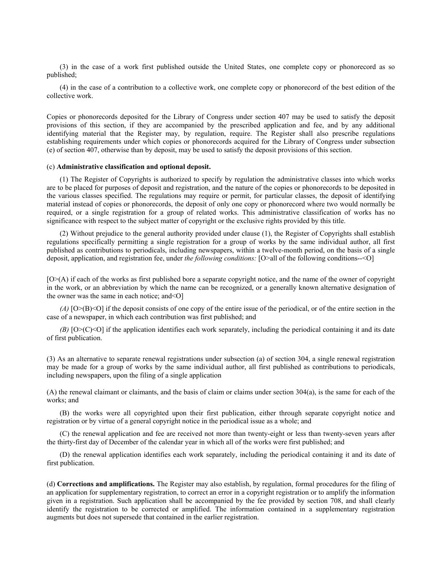(3) in the case of a work first published outside the United States, one complete copy or phonorecord as so published;

(4) in the case of a contribution to a collective work, one complete copy or phonorecord of the best edition of the collective work.

Copies or phonorecords deposited for the Library of Congress under section 407 may be used to satisfy the deposit provisions of this section, if they are accompanied by the prescribed application and fee, and by any additional identifying material that the Register may, by regulation, require. The Register shall also prescribe regulations establishing requirements under which copies or phonorecords acquired for the Library of Congress under subsection (e) of section 407, otherwise than by deposit, may be used to satisfy the deposit provisions of this section.

### (c) **Administrative classification and optional deposit.**

(1) The Register of Copyrights is authorized to specify by regulation the administrative classes into which works are to be placed for purposes of deposit and registration, and the nature of the copies or phonorecords to be deposited in the various classes specified. The regulations may require or permit, for particular classes, the deposit of identifying material instead of copies or phonorecords, the deposit of only one copy or phonorecord where two would normally be required, or a single registration for a group of related works. This administrative classification of works has no significance with respect to the subject matter of copyright or the exclusive rights provided by this title.

(2) Without prejudice to the general authority provided under clause (1), the Register of Copyrights shall establish regulations specifically permitting a single registration for a group of works by the same individual author, all first published as contributions to periodicals, including newspapers, within a twelve-month period, on the basis of a single deposit, application, and registration fee, under *the following conditions:* [O>all of the following conditions--<O]

[O>(A) if each of the works as first published bore a separate copyright notice, and the name of the owner of copyright in the work, or an abbreviation by which the name can be recognized, or a generally known alternative designation of the owner was the same in each notice; and < Ol

*(A)* [O>(B)<O] if the deposit consists of one copy of the entire issue of the periodical, or of the entire section in the case of a newspaper, in which each contribution was first published; and

 $(B)$  [O>(C)<O] if the application identifies each work separately, including the periodical containing it and its date of first publication.

(3) As an alternative to separate renewal registrations under subsection (a) of section 304, a single renewal registration may be made for a group of works by the same individual author, all first published as contributions to periodicals, including newspapers, upon the filing of a single application

(A) the renewal claimant or claimants, and the basis of claim or claims under section 304(a), is the same for each of the works; and

(B) the works were all copyrighted upon their first publication, either through separate copyright notice and registration or by virtue of a general copyright notice in the periodical issue as a whole; and

(C) the renewal application and fee are received not more than twenty-eight or less than twenty-seven years after the thirty-first day of December of the calendar year in which all of the works were first published; and

(D) the renewal application identifies each work separately, including the periodical containing it and its date of first publication.

(d) **Corrections and amplifications.** The Register may also establish, by regulation, formal procedures for the filing of an application for supplementary registration, to correct an error in a copyright registration or to amplify the information given in a registration. Such application shall be accompanied by the fee provided by section 708, and shall clearly identify the registration to be corrected or amplified. The information contained in a supplementary registration augments but does not supersede that contained in the earlier registration.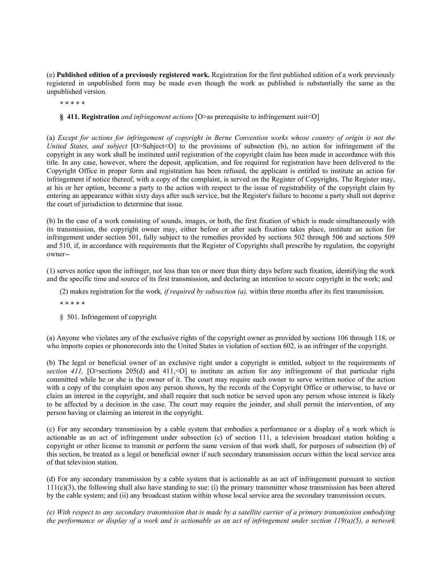(e) **Published edition of a previously registered work.** Registration for the first published edition of a work previously registered in unpublished form may be made even though the work as published is substantially the same as the unpublished version.

\* \* \* \* \*

**§ 411. Registration** *and infringement actions* [O>as prerequisite to infringement suit<O]

(a) *Except for actions for infringement of copyright in Berne Convention works whose country of origin is not the United States, and subject* [O>Subject<O] to the provisions of subsection (b), no action for infringement of the copyright in any work shall be instituted until registration of the copyright claim has been made in accordance with this title. In any case, however, where the deposit, application, and fee required for registration have been delivered to the Copyright Office in proper form and registration has been refused, the applicant is entitled to institute an action for infringement if notice thereof, with a copy of the complaint, is served on the Register of Copyrights. The Register may, at his or her option, become a party to the action with respect to the issue of registrability of the copyright claim by entering an appearance within sixty days after such service, but the Register's failure to become a party shall not deprive the court of jurisdiction to determine that issue.

(b) In the case of a work consisting of sounds, images, or both, the first fixation of which is made simultaneously with its transmission, the copyright owner may, either before or after such fixation takes place, institute an action for infringement under section 501, fully subject to the remedies provided by sections 502 through 506 and sections 509 and 510, if, in accordance with requirements that the Register of Copyrights shall prescribe by regulation, the copyright owner--

(1) serves notice upon the infringer, not less than ten or more than thirty days before such fixation, identifying the work and the specific time and source of its first transmission, and declaring an intention to secure copyright in the work; and

(2) makes registration for the work*, if required by subsection (a),* within three months after its first transmission.

\* \* \* \* \*

§ 501. Infringement of copyright

(a) Anyone who violates any of the exclusive rights of the copyright owner as provided by sections 106 through 118, or who imports copies or phonorecords into the United States in violation of section 602, is an infringer of the copyright.

(b) The legal or beneficial owner of an exclusive right under a copyright is entitled, subject to the requirements of *section 411,* [O>sections 205(d) and 411,<O] to institute an action for any infringement of that particular right committed while he or she is the owner of it. The court may require such owner to serve written notice of the action with a copy of the complaint upon any person shown, by the records of the Copyright Office or otherwise, to have or claim an interest in the copyright, and shall require that such notice be served upon any person whose interest is likely to be affected by a decision in the case. The court may require the joinder, and shall permit the intervention, of any person having or claiming an interest in the copyright.

(c) For any secondary transmission by a cable system that embodies a performance or a display of a work which is actionable as an act of infringement under subsection (c) of section 111, a television broadcast station holding a copyright or other license to transmit or perform the same version of that work shall, for purposes of subsection (b) of this section, be treated as a legal or beneficial owner if such secondary transmission occurs within the local service area of that television station.

(d) For any secondary transmission by a cable system that is actionable as an act of infringement pursuant to section  $111(c)(3)$ , the following shall also have standing to sue: (i) the primary transmitter whose transmission has been altered by the cable system; and (ii) any broadcast station within whose local service area the secondary transmission occurs.

*(e) With respect to any secondary transmission that is made by a satellite carrier of a primary transmission embodying the performance or display of a work and is actionable as an act of infringement under section 119(a)(5), a network*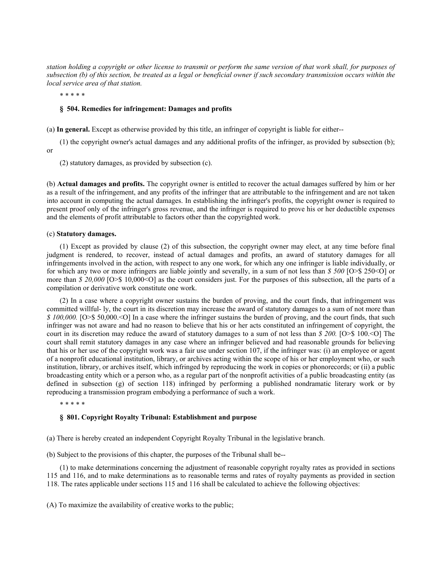*station holding a copyright or other license to transmit or perform the same version of that work shall, for purposes of subsection (b) of this section, be treated as a legal or beneficial owner if such secondary transmission occurs within the local service area of that station.*

\* \* \* \* \*

### **§ 504. Remedies for infringement: Damages and profits**

(a) **In general.** Except as otherwise provided by this title, an infringer of copyright is liable for either--

(1) the copyright owner's actual damages and any additional profits of the infringer, as provided by subsection (b); or

(2) statutory damages, as provided by subsection (c).

(b) **Actual damages and profits.** The copyright owner is entitled to recover the actual damages suffered by him or her as a result of the infringement, and any profits of the infringer that are attributable to the infringement and are not taken into account in computing the actual damages. In establishing the infringer's profits, the copyright owner is required to present proof only of the infringer's gross revenue, and the infringer is required to prove his or her deductible expenses and the elements of profit attributable to factors other than the copyrighted work.

### (c) **Statutory damages.**

(1) Except as provided by clause (2) of this subsection, the copyright owner may elect, at any time before final judgment is rendered, to recover, instead of actual damages and profits, an award of statutory damages for all infringements involved in the action, with respect to any one work, for which any one infringer is liable individually, or for which any two or more infringers are liable jointly and severally, in a sum of not less than *\$ 500* [O>\$ 250<O] or more than *\$ 20,000* [O>\$ 10,000<O] as the court considers just. For the purposes of this subsection, all the parts of a compilation or derivative work constitute one work.

(2) In a case where a copyright owner sustains the burden of proving, and the court finds, that infringement was committed willful- ly, the court in its discretion may increase the award of statutory damages to a sum of not more than *\$ 100,000.* [O>\$ 50,000.<O] In a case where the infringer sustains the burden of proving, and the court finds, that such infringer was not aware and had no reason to believe that his or her acts constituted an infringement of copyright, the court in its discretion may reduce the award of statutory damages to a sum of not less than *\$ 200.* [O>\$ 100.<O] The court shall remit statutory damages in any case where an infringer believed and had reasonable grounds for believing that his or her use of the copyright work was a fair use under section 107, if the infringer was: (i) an employee or agent of a nonprofit educational institution, library, or archives acting within the scope of his or her employment who, or such institution, library, or archives itself, which infringed by reproducing the work in copies or phonorecords; or (ii) a public broadcasting entity which or a person who, as a regular part of the nonprofit activities of a public broadcasting entity (as defined in subsection (g) of section 118) infringed by performing a published nondramatic literary work or by reproducing a transmission program embodying a performance of such a work.

\* \* \* \* \*

### **§ 801. Copyright Royalty Tribunal: Establishment and purpose**

(a) There is hereby created an independent Copyright Royalty Tribunal in the legislative branch.

(b) Subject to the provisions of this chapter, the purposes of the Tribunal shall be--

(1) to make determinations concerning the adjustment of reasonable copyright royalty rates as provided in sections 115 and 116, and to make determinations as to reasonable terms and rates of royalty payments as provided in section 118. The rates applicable under sections 115 and 116 shall be calculated to achieve the following objectives:

(A) To maximize the availability of creative works to the public;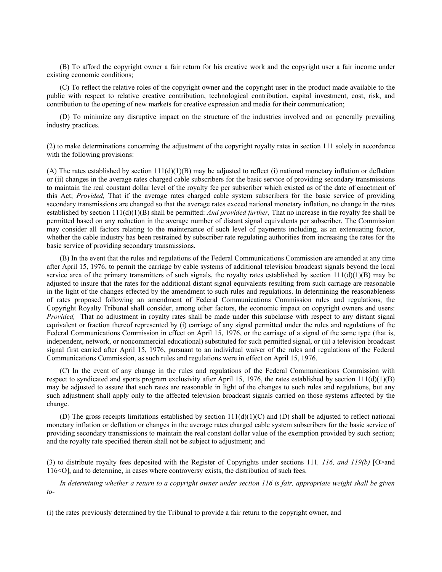(B) To afford the copyright owner a fair return for his creative work and the copyright user a fair income under existing economic conditions;

(C) To reflect the relative roles of the copyright owner and the copyright user in the product made available to the public with respect to relative creative contribution, technological contribution, capital investment, cost, risk, and contribution to the opening of new markets for creative expression and media for their communication;

(D) To minimize any disruptive impact on the structure of the industries involved and on generally prevailing industry practices.

(2) to make determinations concerning the adjustment of the copyright royalty rates in section 111 solely in accordance with the following provisions:

(A) The rates established by section  $111(d)(1)(B)$  may be adjusted to reflect (i) national monetary inflation or deflation or (ii) changes in the average rates charged cable subscribers for the basic service of providing secondary transmissions to maintain the real constant dollar level of the royalty fee per subscriber which existed as of the date of enactment of this Act; *Provided,* That if the average rates charged cable system subscribers for the basic service of providing secondary transmissions are changed so that the average rates exceed national monetary inflation, no change in the rates established by section 111(d)(1)(B) shall be permitted: *And provided further,* That no increase in the royalty fee shall be permitted based on any reduction in the average number of distant signal equivalents per subscriber. The Commission may consider all factors relating to the maintenance of such level of payments including, as an extenuating factor, whether the cable industry has been restrained by subscriber rate regulating authorities from increasing the rates for the basic service of providing secondary transmissions.

(B) In the event that the rules and regulations of the Federal Communications Commission are amended at any time after April 15, 1976, to permit the carriage by cable systems of additional television broadcast signals beyond the local service area of the primary transmitters of such signals, the royalty rates established by section  $111(d)(1)(B)$  may be adjusted to insure that the rates for the additional distant signal equivalents resulting from such carriage are reasonable in the light of the changes effected by the amendment to such rules and regulations. In determining the reasonableness of rates proposed following an amendment of Federal Communications Commission rules and regulations, the Copyright Royalty Tribunal shall consider, among other factors, the economic impact on copyright owners and users: *Provided,* That no adjustment in royalty rates shall be made under this subclause with respect to any distant signal equivalent or fraction thereof represented by (i) carriage of any signal permitted under the rules and regulations of the Federal Communications Commission in effect on April 15, 1976, or the carriage of a signal of the same type (that is, independent, network, or noncommercial educational) substituted for such permitted signal, or (ii) a television broadcast signal first carried after April 15, 1976, pursuant to an individual waiver of the rules and regulations of the Federal Communications Commission, as such rules and regulations were in effect on April 15, 1976.

(C) In the event of any change in the rules and regulations of the Federal Communications Commission with respect to syndicated and sports program exclusivity after April 15, 1976, the rates established by section  $111(d)(1)(B)$ may be adjusted to assure that such rates are reasonable in light of the changes to such rules and regulations, but any such adjustment shall apply only to the affected television broadcast signals carried on those systems affected by the change.

(D) The gross receipts limitations established by section  $111(d)(1)(C)$  and (D) shall be adjusted to reflect national monetary inflation or deflation or changes in the average rates charged cable system subscribers for the basic service of providing secondary transmissions to maintain the real constant dollar value of the exemption provided by such section; and the royalty rate specified therein shall not be subject to adjustment; and

(3) to distribute royalty fees deposited with the Register of Copyrights under sections 111*, 116, and 119(b)* [O>and 116<O], and to determine, in cases where controversy exists, the distribution of such fees.

*In determining whether a return to a copyright owner under section 116 is fair, appropriate weight shall be given to-*

(i) the rates previously determined by the Tribunal to provide a fair return to the copyright owner, and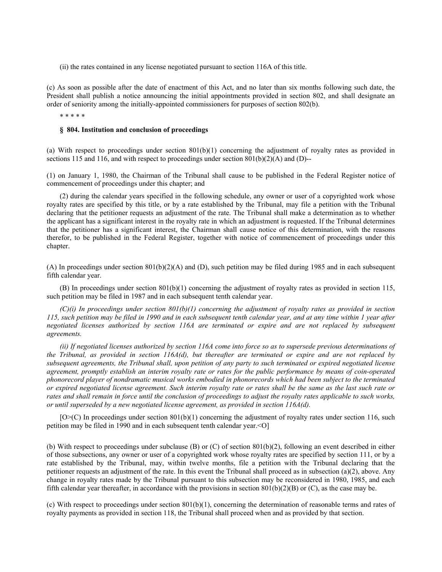(ii) the rates contained in any license negotiated pursuant to section 116A of this title.

(c) As soon as possible after the date of enactment of this Act, and no later than six months following such date, the President shall publish a notice announcing the initial appointments provided in section 802, and shall designate an order of seniority among the initially-appointed commissioners for purposes of section 802(b).

\* \* \* \* \*

### **§ 804. Institution and conclusion of proceedings**

(a) With respect to proceedings under section 801(b)(1) concerning the adjustment of royalty rates as provided in sections 115 and 116, and with respect to proceedings under section  $801(b)(2)(A)$  and (D)--

(1) on January 1, 1980, the Chairman of the Tribunal shall cause to be published in the Federal Register notice of commencement of proceedings under this chapter; and

(2) during the calendar years specified in the following schedule, any owner or user of a copyrighted work whose royalty rates are specified by this title, or by a rate established by the Tribunal, may file a petition with the Tribunal declaring that the petitioner requests an adjustment of the rate. The Tribunal shall make a determination as to whether the applicant has a significant interest in the royalty rate in which an adjustment is requested. If the Tribunal determines that the petitioner has a significant interest, the Chairman shall cause notice of this determination, with the reasons therefor, to be published in the Federal Register, together with notice of commencement of proceedings under this chapter.

(A) In proceedings under section  $801(b)(2)(A)$  and (D), such petition may be filed during 1985 and in each subsequent fifth calendar year.

(B) In proceedings under section 801(b)(1) concerning the adjustment of royalty rates as provided in section 115, such petition may be filed in 1987 and in each subsequent tenth calendar year.

*(C)(i) In proceedings under section 801(b)(1) concerning the adjustment of royalty rates as provided in section 115, such petition may be filed in 1990 and in each subsequent tenth calendar year, and at any time within 1 year after negotiated licenses authorized by section 116A are terminated or expire and are not replaced by subsequent agreements.*

*(ii) If negotiated licenses authorized by section 116A come into force so as to supersede previous determinations of the Tribunal, as provided in section 116A(d), but thereafter are terminated or expire and are not replaced by subsequent agreements, the Tribunal shall, upon petition of any party to such terminated or expired negotiated license agreement, promptly establish an interim royalty rate or rates for the public performance by means of coin-operated phonorecord player of nondramatic musical works embodied in phonorecords which had been subject to the terminated or expired negotiated license agreement. Such interim royalty rate or rates shall be the same as the last such rate or rates and shall remain in force until the conclusion of proceedings to adjust the royalty rates applicable to such works, or until superseded by a new negotiated license agreement, as provided in section 116A(d).*

[O>(C) In proceedings under section 801(b)(1) concerning the adjustment of royalty rates under section 116, such petition may be filed in 1990 and in each subsequent tenth calendar year.<O]

(b) With respect to proceedings under subclause (B) or (C) of section 801(b)(2), following an event described in either of those subsections, any owner or user of a copyrighted work whose royalty rates are specified by section 111, or by a rate established by the Tribunal, may, within twelve months, file a petition with the Tribunal declaring that the petitioner requests an adjustment of the rate. In this event the Tribunal shall proceed as in subsection  $(a)(2)$ , above. Any change in royalty rates made by the Tribunal pursuant to this subsection may be reconsidered in 1980, 1985, and each fifth calendar year thereafter, in accordance with the provisions in section  $801(b)(2)(B)$  or (C), as the case may be.

(c) With respect to proceedings under section  $801(b)(1)$ , concerning the determination of reasonable terms and rates of royalty payments as provided in section 118, the Tribunal shall proceed when and as provided by that section.